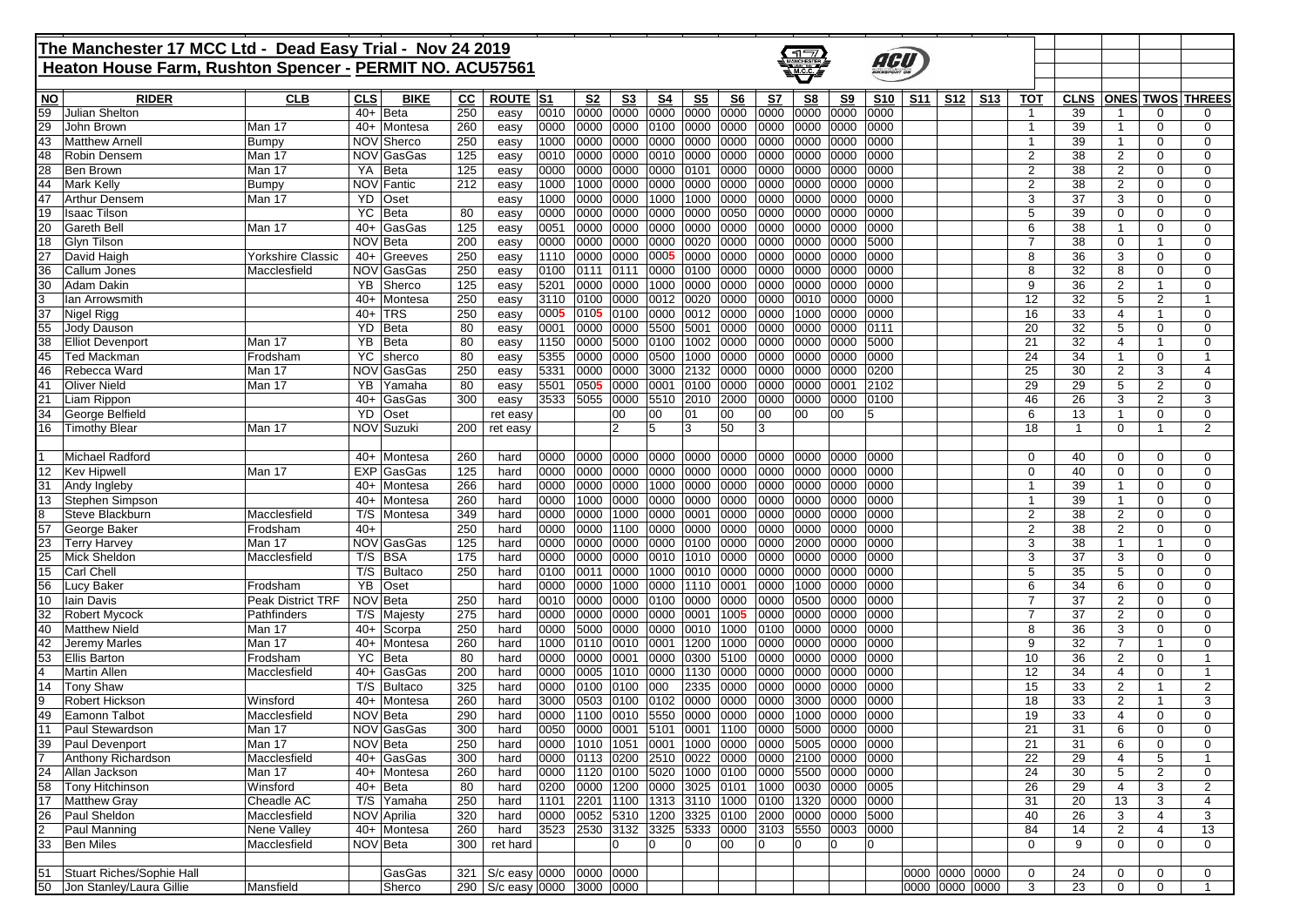## **The Manchester 17 MCC Ltd - Dead Easy Trial - Nov 24 2019 Heaton House Farm, Rushton Spencer - PERMIT NO. ACU57561**



 $\Box$ 

| <b>NO</b><br><b>CLS</b><br>ROUTE  S1<br><u>S7</u><br>S <sub>9</sub><br><b>TOT</b><br><b>ONES TWOS THREES</b><br><b>RIDER</b><br><b>CLB</b><br><b>BIKE</b><br>cc<br>S2<br>S3<br>S4<br>S5<br>S <sub>6</sub><br>S8<br><b>S10</b><br><b>S11</b><br><b>S12</b><br><b>S13</b><br><b>CLNS</b><br>250<br>0010<br>0000<br>0000<br>0000<br>59<br>Julian Shelton<br>0000<br>0000<br>0000<br>0000<br>0000<br>0000<br>$40+$<br><b>Beta</b><br>39<br>easy<br>$\mathbf 1$<br>0<br>$\Omega$<br>29<br>$40+$<br>260<br>0000<br>0000<br>0000<br>0100<br>0000<br>0000<br>0000<br>0000<br>0000<br>39<br>John Brown<br>Man 17<br>Montesa<br>0000<br>$\mathbf{1}$<br>$\mathbf 0$<br>0<br>easy<br>250<br>0000<br>0000<br>0000<br>NOV Sherco<br>1000<br>0000<br>0000<br>0000<br>0000<br>0000<br>0000<br>39<br>43<br><b>Bumpy</b><br>$\mathbf{1}$<br>$\mathbf 0$<br>0<br>Matthew Arnell<br>easy<br>$\overline{2}$<br>NOV GasGas<br>125<br>0010<br>0000<br>0000<br>0010<br>0000<br>0000<br>0000<br>0000<br>0000<br>0000<br>38<br>$\overline{2}$<br>$\mathbf 0$<br>48<br>Robin Densem<br>Man 17<br>0<br>easy<br>YA<br><b>Beta</b><br>125<br>0000<br>0000<br>0000<br>0000<br>0101<br>0000<br>0000<br>0000<br>0000<br>0000<br>2<br>38<br>$\overline{2}$<br>Ben Brown<br>Man 17<br>0<br>0<br>28<br>easy<br>NOV Fantic<br>212<br>1000<br>1000<br>0000<br>0000<br>0000<br>0000<br>0000<br>0000<br>0000<br>0000<br>2<br>38<br>44<br><b>Mark Kelly</b><br>Bumpy<br>2<br>0<br>0<br>easy<br>1000<br>0000<br>0000<br>1000<br>1000<br>0000<br>3<br>37<br>47<br><b>Arthur Densem</b><br>YD<br>Oset<br>0000<br>0000<br>0000<br>0000<br>3<br>$\mathbf 0$<br>0<br>Man 17<br>easy<br>19<br><b>Isaac Tilson</b><br>YC.<br>Beta<br>80<br>0000<br>0000<br>0000<br>0000<br>0000<br>0050<br>0000<br>0000<br>0000<br>0000<br>5<br>39<br>$\mathbf 0$<br>$\mathbf 0$<br>$\Omega$<br>easy<br>$40+$<br>125<br>0051<br>0000<br>0000<br>0000<br>0000<br>0000<br>0000<br>0000<br>0000<br>0000<br>6<br>38<br>20<br><b>Gareth Bell</b><br>GasGas<br>$\mathbf 0$<br>0<br>Man 17<br>easy<br>-1<br>200<br>0020<br><b>NOV</b><br>Beta<br>0000<br>0000<br>0000<br>0000<br>0000<br>0000<br>0000<br>5000<br>$\overline{7}$<br>38<br>$\mathbf 0$<br>$\Omega$<br>18<br><b>Glvn Tilson</b><br>0000<br>$\mathbf{1}$<br>easy<br>250<br>27<br>$40+$<br>1110<br>0000<br>0000<br>0005<br>0000<br>0000<br>8<br>36<br>David Haigh<br>Yorkshire Classic<br>0000<br>0000<br>0000<br>0000<br>3<br>$\mathbf 0$<br>0<br>Greeves<br>easy<br>250<br>NOV GasGas<br>0100<br>0111<br>0000<br>0100<br>0000<br>0000<br>0000<br>0000<br>0000<br>8<br>32<br>36<br>0111<br>8<br>$\mathbf 0$<br>$\Omega$<br>Callum Jones<br>Macclesfield<br>easy<br>30<br>YB<br>125<br>5201<br>0000<br>0000<br>0000<br>9<br>36<br><b>Adam Dakin</b><br>Sherco<br>0000<br>1000<br>0000<br>0000<br>0000<br>0000<br>$\overline{2}$<br>$\mathbf{1}$<br>0<br>easy<br>250<br>32<br>3110<br>0100<br>0000<br>0012<br>0020<br>0000<br>0000<br>0010<br>0000<br>0000<br>12<br>5<br>$\overline{2}$<br>lan Arrowsmith<br>40+<br>Montesa<br>easy<br>250<br>0005<br>0105<br>37<br>$40+$<br><b>TRS</b><br>0100<br>0000<br>0012<br>0000<br>0000<br>1000<br>0000<br>0000<br>Nigel Rigg<br>16<br>33<br>0<br>easy<br>4<br>$\mathbf{1}$<br>5500<br>55<br>YD<br>Beta<br>80<br>0001<br>0000<br>0000<br>5001<br>0000<br>0000<br>0000<br>20<br>32<br>$\mathbf 0$<br>Jody Dauson<br>0000<br>0111<br>5<br>0<br>easy<br><b>YB</b><br>Beta<br>80<br>0000 5000<br>1002<br>21<br>1150<br>0100<br>0000<br>0000<br>0000<br>0000<br>5000<br>32<br>38<br><b>Elliot Devenport</b><br>Man 17<br>$\overline{4}$<br>$\mathbf{1}$<br>0<br>easy<br>80<br>5355<br>0500<br>1000<br>0000<br>24<br>34<br>Ted Mackman<br>Frodsham<br>YC<br>0000<br>0000<br>0000<br>0000 0000<br>0000<br>0<br>45<br>sherco<br>easy<br>-1<br><b>NOV</b><br>GasGas<br>250<br>5331<br>0000<br>0000<br>3000<br>2132<br>0000<br>0000<br>0000<br>0200<br>25<br>30<br>3<br>46<br>Rebecca Ward<br>Man 17<br>0000<br>2<br>4<br>easy<br>0505<br>41<br>YB<br>80<br>5501<br>0000<br>0001<br>0100<br>0000<br>0000<br>0000<br>0001<br>29<br>29<br>5<br>$\overline{2}$<br>$\mathbf 0$<br><b>Oliver Nield</b><br>Man 17<br>Yamaha<br>2102<br>easy<br>21<br>$40+$<br>300<br>3533<br>5055<br>0000<br>5510<br>2010<br>2000<br>46<br>26<br>3<br>$\overline{2}$<br>3<br>Liam Rippon<br>GasGas<br>0000<br>0000<br>0000<br>0100<br>easy<br>34<br><b>YD</b><br>6<br>13<br>$\mathbf 0$<br>George Belfield<br>Oset<br>00<br>01<br>00<br>00<br>00<br>00<br>0<br>ret easy<br>00<br>5<br>-1<br>50<br>$\overline{2}$<br>NOV Suzuki<br>12<br>3<br>18<br>16<br><b>Timothy Blear</b><br>Man 17<br>200<br>5<br>3<br>$\mathbf{1}$<br>0<br>$\mathbf{1}$<br>ret easy<br>0000<br>0000<br>0000<br>0000<br>0000<br>0000<br>1<br>Michael Radford<br>$40+$<br>Montesa<br>260<br>0000<br>0000<br>0000<br>0000<br>0<br>40<br>$\mathbf 0$<br>0<br>hard<br>0<br>12<br><b>Kev Hipwell</b><br>EXP GasGas<br>125<br>0000<br>0000<br>0000<br>0000<br>0000<br>0000<br>0000<br>0000<br>0000<br>0000<br>$\mathbf 0$<br>40<br>$\mathbf 0$<br>$\mathbf 0$<br>Man 17<br>hard<br>$\Omega$<br>266<br>0000<br>0000<br>0000<br>1000<br>0000<br>0000<br>0000<br>0000<br>0000<br>0000<br>39<br>$\mathbf 0$<br>31<br>$40+$<br>Montesa<br>hard<br>$\mathbf{1}$<br>$\Omega$<br>Andy Ingleby<br>$40+$<br>260<br>0000<br>1000 0000<br>0000<br>0000<br>0000<br>0000<br>0000<br>0000<br>39<br>13<br>Stephen Simpson<br>Montesa<br>hard<br>0000<br>$\mathbf 0$<br>0<br>$\mathbf{1}$<br>349<br>0000<br>0000<br>0000<br>1000<br>0001<br>0000<br>0000<br>0000<br>0000<br>0000<br>$\overline{2}$<br>38<br>$\overline{2}$<br>Steve Blackburn<br>Macclesfield<br>T/S<br>hard<br>0<br>0<br>Montesa<br>8<br>250<br>57<br>$40+$<br>0000<br>0000 1100<br>0000<br>0000<br>0000<br>$\overline{2}$<br>38<br>George Baker<br>Frodsham<br>hard<br>0000<br>0000<br>0000<br>0000<br>2<br>0<br>0<br>NOV GasGas<br>125<br>0000<br>0000<br>0000<br>0000<br>0100<br>0000<br>0000<br>2000<br>0000<br>3<br>38<br>23<br><b>Terry Harvey</b><br>Man 17<br>hard<br>0000<br>$\mathbf{1}$<br>0<br>-1<br>25<br><b>Mick Sheldon</b><br>T/S<br><b>BSA</b><br>175<br>0000<br>0000<br>0000<br>0010<br>1010<br>0000<br>0000<br>0000<br>0000<br>0000<br>3<br>37<br>3<br>$\mathbf 0$<br>$\Omega$<br>Macclesfield<br>hard<br>15<br>T/S<br>Bultaco<br>250<br>0100<br>0011<br>0000<br>1000<br>0010<br>0000<br>0000<br>0000<br>5<br>35<br>5<br>$\mathbf 0$<br><b>Carl Chell</b><br>hard<br>0000<br>0000<br>0<br><b>YB</b><br>6<br>Oset<br>0000<br>0000<br>1000<br>0000<br>1110<br>0001<br>0000<br>1000<br>0000<br>34<br>6<br>$\mathbf 0$<br>$\Omega$<br>56<br>Lucy Baker<br>Frodsham<br>hard<br>0000<br>NOV Beta<br>250<br>0010<br>0000<br>0000<br>0100<br>0000<br>0000<br>0000<br>0500<br>0000<br>$\overline{7}$<br>37<br>10<br><b>lain Davis</b><br><b>Peak District TRF</b><br>hard<br>0000<br>2<br>$\mathbf 0$<br>0<br>275<br>0000<br>0000<br>0000<br>0000<br>0001<br>1005<br>37<br>32<br><b>Robert Mycock</b><br>Pathfinders<br>T/S<br>hard<br>0000<br>0000<br>0000<br>0000<br>7<br>2<br>$\mathbf 0$<br>$\Omega$<br>Majesty<br>250<br>40<br>$40+$<br>0000<br>5000<br>0000<br>0000<br>0010<br>1000<br>0000<br>0000<br>0000<br>8<br>36<br><b>Matthew Nield</b><br>Man 17<br>Scorpa<br>hard<br>0100<br>3<br>$\mathbf 0$<br>0<br>260<br>1000<br>0001<br>1200<br>1000<br>9<br>32<br>42<br>Jeremy Marles<br>Man 17<br>$40+$<br>Montesa<br>hard<br>0110<br>0010<br>0000<br>0000<br>0000<br>0000<br>7<br>$\mathbf{1}$<br>0<br>53<br>YC<br><b>Beta</b><br>80<br>0000<br>0000<br>0001<br>0000<br>0300<br>5100<br>0000<br>0000<br>0000<br>0000<br>10<br>36<br>$\overline{2}$<br>$\mathbf 0$<br><b>Ellis Barton</b><br>Frodsham<br>hard<br>1130<br>GasGas<br>200<br>hard<br>0000<br>0005 1010<br>0000<br>0000<br>0000<br>0000<br>0000<br>0000<br>12<br>34<br>$\mathbf 0$<br>Martin Allen<br>40+<br>$\overline{4}$<br>Macclesfield<br>325<br>2335<br>0000<br>14<br>T/S<br>0000<br>0100<br>0100<br>000<br>0000<br>0000<br>0000<br>0000<br>15<br>33<br>$\overline{2}$<br>$\overline{2}$<br><b>Tony Shaw</b><br>Bultaco<br>hard<br>$\mathbf{1}$<br>260<br>3000<br>0102<br>0000<br>Robert Hickson<br>Winsford<br>$40+$<br>0503<br>0100<br>0000<br>0000<br>3000<br>0000<br>0000<br>18<br>33<br>2<br>9<br>Montesa<br>hard<br>$\mathbf{1}$<br>3<br><b>NOV</b><br>290<br>0000<br>1100 0010<br>5550<br>0000<br>0000<br>1000<br>0000<br>0000<br>19<br>33<br>49<br>Eamonn Talbot<br>Macclesfield<br>Beta<br>hard<br>0000<br>$\overline{4}$<br>0<br>0<br>NOV GasGas<br>300<br>0050<br>5101<br>0001<br>1100<br>21<br><b>Paul Stewardson</b><br>Man 17<br>hard<br>0000<br>0001<br>0000<br>5000<br>0000<br>0000<br>31<br>6<br>$\mathbf 0$<br>0<br>11<br>250<br><b>NOV</b><br>Beta<br>0000<br>1051<br>0001<br>1000<br>0000<br>0000<br>21<br>31<br>6<br>$\mathbf 0$<br>$\mathbf 0$<br>39<br>Paul Devenport<br>Man 17<br>hard<br>1010<br>0000<br>5005<br>0000<br>300<br>0000<br>0113 0200<br>2510<br>0022<br>0000<br>0000 2100 0000<br>22<br>29<br>5<br>7<br>Anthony Richardson<br>$40+$<br>GasGas<br>hard<br>0000<br>Macclesfield<br>4<br>$\mathbf 1$<br>24 Allan Jackson<br>40+ Montesa<br>260<br>hard 0000<br>$\overline{24}$<br>30<br>Man 17<br>5<br>$\overline{\mathbf{c}}$<br>0<br>58 Tony Hitchinson<br>0000 1200 0000 3025 0101 1000 0030 0000 0005<br>26<br>$\overline{2}$<br>Winsford<br>$40+$ Beta<br>80<br>0200<br>29<br>3<br>hard<br>4<br>17 Matthew Gray<br>Cheadle AC<br>T/S Yamaha<br>250<br> 1101<br>hard<br>31<br>20<br>13<br>3<br>4<br>26 Paul Sheldon<br>Macclesfield<br>320<br>0052 5310 1200 3325 0100 2000 0000 0000 5000<br>NOV Aprilia<br>hard<br>0000<br>40<br>3<br>3<br>26<br>4<br>$\overline{2}$<br>260<br>3523<br>2530 3132 3325 5333 0000 3103 5550 0003 0000<br>Paul Manning<br>$\overline{2}$<br>13<br>Nene Valley<br>40+ Montesa<br>hard<br>84<br>14<br>4<br>33 Ben Miles<br>NOV Beta<br>$300$ ret hard<br>0<br>00<br>10<br>Macclesfield<br>10<br>10<br>0<br>$\overline{0}$<br>10<br>0<br>9<br>$\overline{0}$<br>0<br>0<br>51 Stuart Riches/Sophie Hall<br>GasGas<br>321   S/c easy 0000   0000   0000<br>0000 0000 0000<br>0<br>24<br>0<br>0<br>0<br>0000 0000 0000<br>50 Jon Stanley/Laura Gillie<br>290   S/c easy 0000   3000   0000 |  |           |  |        |  |  |  |  |  |  |  |  |   |    |   |   |                |
|--------------------------------------------------------------------------------------------------------------------------------------------------------------------------------------------------------------------------------------------------------------------------------------------------------------------------------------------------------------------------------------------------------------------------------------------------------------------------------------------------------------------------------------------------------------------------------------------------------------------------------------------------------------------------------------------------------------------------------------------------------------------------------------------------------------------------------------------------------------------------------------------------------------------------------------------------------------------------------------------------------------------------------------------------------------------------------------------------------------------------------------------------------------------------------------------------------------------------------------------------------------------------------------------------------------------------------------------------------------------------------------------------------------------------------------------------------------------------------------------------------------------------------------------------------------------------------------------------------------------------------------------------------------------------------------------------------------------------------------------------------------------------------------------------------------------------------------------------------------------------------------------------------------------------------------------------------------------------------------------------------------------------------------------------------------------------------------------------------------------------------------------------------------------------------------------------------------------------------------------------------------------------------------------------------------------------------------------------------------------------------------------------------------------------------------------------------------------------------------------------------------------------------------------------------------------------------------------------------------------------------------------------------------------------------------------------------------------------------------------------------------------------------------------------------------------------------------------------------------------------------------------------------------------------------------------------------------------------------------------------------------------------------------------------------------------------------------------------------------------------------------------------------------------------------------------------------------------------------------------------------------------------------------------------------------------------------------------------------------------------------------------------------------------------------------------------------------------------------------------------------------------------------------------------------------------------------------------------------------------------------------------------------------------------------------------------------------------------------------------------------------------------------------------------------------------------------------------------------------------------------------------------------------------------------------------------------------------------------------------------------------------------------------------------------------------------------------------------------------------------------------------------------------------------------------------------------------------------------------------------------------------------------------------------------------------------------------------------------------------------------------------------------------------------------------------------------------------------------------------------------------------------------------------------------------------------------------------------------------------------------------------------------------------------------------------------------------------------------------------------------------------------------------------------------------------------------------------------------------------------------------------------------------------------------------------------------------------------------------------------------------------------------------------------------------------------------------------------------------------------------------------------------------------------------------------------------------------------------------------------------------------------------------------------------------------------------------------------------------------------------------------------------------------------------------------------------------------------------------------------------------------------------------------------------------------------------------------------------------------------------------------------------------------------------------------------------------------------------------------------------------------------------------------------------------------------------------------------------------------------------------------------------------------------------------------------------------------------------------------------------------------------------------------------------------------------------------------------------------------------------------------------------------------------------------------------------------------------------------------------------------------------------------------------------------------------------------------------------------------------------------------------------------------------------------------------------------------------------------------------------------------------------------------------------------------------------------------------------------------------------------------------------------------------------------------------------------------------------------------------------------------------------------------------------------------------------------------------------------------------------------------------------------------------------------------------------------------------------------------------------------------------------------------------------------------------------------------------------------------------------------------------------------------------------------------------------------------------------------------------------------------------------------------------------------------------------------------------------------------------------------------------------------------------------------------------------------------------------------------------------------------------------------------------------------------------------------------------------------------------------------------------------------------------------------------------------------------------------------------------------------------------------------------------------------------------------------------------------------------------------------------------------------------------------------------------------------------------------------------------------------------------------------------------------------------------------------------------------------------------------------------------------------------------------------------------------------------------------------------------------------------------------------------------------------------------------------------------------------------------------------------------------------------------------------------------------------------------------------------------------------------------------------------------------------------------------------------------------------------------------------------------------------------------------------------------------------------------------------------------------------------------------------------------------------------------------------------------------------------------------------------------------------------------------------------------------------------------------------------------------------------------------------------------------------------------------------------------------------------------------------------------------------------------------------------------------------------------------------------------------------------------------------------------------------------------------------------------------------------------------------------------------------------------------------------------------------------------------------------------------------------------------------------------------------------------------------------------------------------------------------------------------------------------------------------------------------------------------------------------------------------------------------------------------------------------------------------------------------------------------------------------------------------------------------------------------------------------------------------------------------------------------------------------------------------------------------------------------------------------------------------------------|--|-----------|--|--------|--|--|--|--|--|--|--|--|---|----|---|---|----------------|
|                                                                                                                                                                                                                                                                                                                                                                                                                                                                                                                                                                                                                                                                                                                                                                                                                                                                                                                                                                                                                                                                                                                                                                                                                                                                                                                                                                                                                                                                                                                                                                                                                                                                                                                                                                                                                                                                                                                                                                                                                                                                                                                                                                                                                                                                                                                                                                                                                                                                                                                                                                                                                                                                                                                                                                                                                                                                                                                                                                                                                                                                                                                                                                                                                                                                                                                                                                                                                                                                                                                                                                                                                                                                                                                                                                                                                                                                                                                                                                                                                                                                                                                                                                                                                                                                                                                                                                                                                                                                                                                                                                                                                                                                                                                                                                                                                                                                                                                                                                                                                                                                                                                                                                                                                                                                                                                                                                                                                                                                                                                                                                                                                                                                                                                                                                                                                                                                                                                                                                                                                                                                                                                                                                                                                                                                                                                                                                                                                                                                                                                                                                                                                                                                                                                                                                                                                                                                                                                                                                                                                                                                                                                                                                                                                                                                                                                                                                                                                                                                                                                                                                                                                                                                                                                                                                                                                                                                                                                                                                                                                                                                                                                                                                                                                                                                                                                                                                                                                                                                                                                                                                                                                                                                                                                                                                                                                                                                                                                                                                                                                                                                                                                                                                                                                                                                                                                                                                                                                                                                                                                                                                                                                                                                                                                                                                                                                                                                                                                                                                                                                                                                                                                                                        |  |           |  |        |  |  |  |  |  |  |  |  |   |    |   |   |                |
|                                                                                                                                                                                                                                                                                                                                                                                                                                                                                                                                                                                                                                                                                                                                                                                                                                                                                                                                                                                                                                                                                                                                                                                                                                                                                                                                                                                                                                                                                                                                                                                                                                                                                                                                                                                                                                                                                                                                                                                                                                                                                                                                                                                                                                                                                                                                                                                                                                                                                                                                                                                                                                                                                                                                                                                                                                                                                                                                                                                                                                                                                                                                                                                                                                                                                                                                                                                                                                                                                                                                                                                                                                                                                                                                                                                                                                                                                                                                                                                                                                                                                                                                                                                                                                                                                                                                                                                                                                                                                                                                                                                                                                                                                                                                                                                                                                                                                                                                                                                                                                                                                                                                                                                                                                                                                                                                                                                                                                                                                                                                                                                                                                                                                                                                                                                                                                                                                                                                                                                                                                                                                                                                                                                                                                                                                                                                                                                                                                                                                                                                                                                                                                                                                                                                                                                                                                                                                                                                                                                                                                                                                                                                                                                                                                                                                                                                                                                                                                                                                                                                                                                                                                                                                                                                                                                                                                                                                                                                                                                                                                                                                                                                                                                                                                                                                                                                                                                                                                                                                                                                                                                                                                                                                                                                                                                                                                                                                                                                                                                                                                                                                                                                                                                                                                                                                                                                                                                                                                                                                                                                                                                                                                                                                                                                                                                                                                                                                                                                                                                                                                                                                                                                                        |  |           |  |        |  |  |  |  |  |  |  |  |   |    |   |   |                |
|                                                                                                                                                                                                                                                                                                                                                                                                                                                                                                                                                                                                                                                                                                                                                                                                                                                                                                                                                                                                                                                                                                                                                                                                                                                                                                                                                                                                                                                                                                                                                                                                                                                                                                                                                                                                                                                                                                                                                                                                                                                                                                                                                                                                                                                                                                                                                                                                                                                                                                                                                                                                                                                                                                                                                                                                                                                                                                                                                                                                                                                                                                                                                                                                                                                                                                                                                                                                                                                                                                                                                                                                                                                                                                                                                                                                                                                                                                                                                                                                                                                                                                                                                                                                                                                                                                                                                                                                                                                                                                                                                                                                                                                                                                                                                                                                                                                                                                                                                                                                                                                                                                                                                                                                                                                                                                                                                                                                                                                                                                                                                                                                                                                                                                                                                                                                                                                                                                                                                                                                                                                                                                                                                                                                                                                                                                                                                                                                                                                                                                                                                                                                                                                                                                                                                                                                                                                                                                                                                                                                                                                                                                                                                                                                                                                                                                                                                                                                                                                                                                                                                                                                                                                                                                                                                                                                                                                                                                                                                                                                                                                                                                                                                                                                                                                                                                                                                                                                                                                                                                                                                                                                                                                                                                                                                                                                                                                                                                                                                                                                                                                                                                                                                                                                                                                                                                                                                                                                                                                                                                                                                                                                                                                                                                                                                                                                                                                                                                                                                                                                                                                                                                                                                        |  |           |  |        |  |  |  |  |  |  |  |  |   |    |   |   |                |
|                                                                                                                                                                                                                                                                                                                                                                                                                                                                                                                                                                                                                                                                                                                                                                                                                                                                                                                                                                                                                                                                                                                                                                                                                                                                                                                                                                                                                                                                                                                                                                                                                                                                                                                                                                                                                                                                                                                                                                                                                                                                                                                                                                                                                                                                                                                                                                                                                                                                                                                                                                                                                                                                                                                                                                                                                                                                                                                                                                                                                                                                                                                                                                                                                                                                                                                                                                                                                                                                                                                                                                                                                                                                                                                                                                                                                                                                                                                                                                                                                                                                                                                                                                                                                                                                                                                                                                                                                                                                                                                                                                                                                                                                                                                                                                                                                                                                                                                                                                                                                                                                                                                                                                                                                                                                                                                                                                                                                                                                                                                                                                                                                                                                                                                                                                                                                                                                                                                                                                                                                                                                                                                                                                                                                                                                                                                                                                                                                                                                                                                                                                                                                                                                                                                                                                                                                                                                                                                                                                                                                                                                                                                                                                                                                                                                                                                                                                                                                                                                                                                                                                                                                                                                                                                                                                                                                                                                                                                                                                                                                                                                                                                                                                                                                                                                                                                                                                                                                                                                                                                                                                                                                                                                                                                                                                                                                                                                                                                                                                                                                                                                                                                                                                                                                                                                                                                                                                                                                                                                                                                                                                                                                                                                                                                                                                                                                                                                                                                                                                                                                                                                                                                                                        |  |           |  |        |  |  |  |  |  |  |  |  |   |    |   |   |                |
|                                                                                                                                                                                                                                                                                                                                                                                                                                                                                                                                                                                                                                                                                                                                                                                                                                                                                                                                                                                                                                                                                                                                                                                                                                                                                                                                                                                                                                                                                                                                                                                                                                                                                                                                                                                                                                                                                                                                                                                                                                                                                                                                                                                                                                                                                                                                                                                                                                                                                                                                                                                                                                                                                                                                                                                                                                                                                                                                                                                                                                                                                                                                                                                                                                                                                                                                                                                                                                                                                                                                                                                                                                                                                                                                                                                                                                                                                                                                                                                                                                                                                                                                                                                                                                                                                                                                                                                                                                                                                                                                                                                                                                                                                                                                                                                                                                                                                                                                                                                                                                                                                                                                                                                                                                                                                                                                                                                                                                                                                                                                                                                                                                                                                                                                                                                                                                                                                                                                                                                                                                                                                                                                                                                                                                                                                                                                                                                                                                                                                                                                                                                                                                                                                                                                                                                                                                                                                                                                                                                                                                                                                                                                                                                                                                                                                                                                                                                                                                                                                                                                                                                                                                                                                                                                                                                                                                                                                                                                                                                                                                                                                                                                                                                                                                                                                                                                                                                                                                                                                                                                                                                                                                                                                                                                                                                                                                                                                                                                                                                                                                                                                                                                                                                                                                                                                                                                                                                                                                                                                                                                                                                                                                                                                                                                                                                                                                                                                                                                                                                                                                                                                                                                                        |  |           |  |        |  |  |  |  |  |  |  |  |   |    |   |   |                |
|                                                                                                                                                                                                                                                                                                                                                                                                                                                                                                                                                                                                                                                                                                                                                                                                                                                                                                                                                                                                                                                                                                                                                                                                                                                                                                                                                                                                                                                                                                                                                                                                                                                                                                                                                                                                                                                                                                                                                                                                                                                                                                                                                                                                                                                                                                                                                                                                                                                                                                                                                                                                                                                                                                                                                                                                                                                                                                                                                                                                                                                                                                                                                                                                                                                                                                                                                                                                                                                                                                                                                                                                                                                                                                                                                                                                                                                                                                                                                                                                                                                                                                                                                                                                                                                                                                                                                                                                                                                                                                                                                                                                                                                                                                                                                                                                                                                                                                                                                                                                                                                                                                                                                                                                                                                                                                                                                                                                                                                                                                                                                                                                                                                                                                                                                                                                                                                                                                                                                                                                                                                                                                                                                                                                                                                                                                                                                                                                                                                                                                                                                                                                                                                                                                                                                                                                                                                                                                                                                                                                                                                                                                                                                                                                                                                                                                                                                                                                                                                                                                                                                                                                                                                                                                                                                                                                                                                                                                                                                                                                                                                                                                                                                                                                                                                                                                                                                                                                                                                                                                                                                                                                                                                                                                                                                                                                                                                                                                                                                                                                                                                                                                                                                                                                                                                                                                                                                                                                                                                                                                                                                                                                                                                                                                                                                                                                                                                                                                                                                                                                                                                                                                                                                        |  |           |  |        |  |  |  |  |  |  |  |  |   |    |   |   |                |
|                                                                                                                                                                                                                                                                                                                                                                                                                                                                                                                                                                                                                                                                                                                                                                                                                                                                                                                                                                                                                                                                                                                                                                                                                                                                                                                                                                                                                                                                                                                                                                                                                                                                                                                                                                                                                                                                                                                                                                                                                                                                                                                                                                                                                                                                                                                                                                                                                                                                                                                                                                                                                                                                                                                                                                                                                                                                                                                                                                                                                                                                                                                                                                                                                                                                                                                                                                                                                                                                                                                                                                                                                                                                                                                                                                                                                                                                                                                                                                                                                                                                                                                                                                                                                                                                                                                                                                                                                                                                                                                                                                                                                                                                                                                                                                                                                                                                                                                                                                                                                                                                                                                                                                                                                                                                                                                                                                                                                                                                                                                                                                                                                                                                                                                                                                                                                                                                                                                                                                                                                                                                                                                                                                                                                                                                                                                                                                                                                                                                                                                                                                                                                                                                                                                                                                                                                                                                                                                                                                                                                                                                                                                                                                                                                                                                                                                                                                                                                                                                                                                                                                                                                                                                                                                                                                                                                                                                                                                                                                                                                                                                                                                                                                                                                                                                                                                                                                                                                                                                                                                                                                                                                                                                                                                                                                                                                                                                                                                                                                                                                                                                                                                                                                                                                                                                                                                                                                                                                                                                                                                                                                                                                                                                                                                                                                                                                                                                                                                                                                                                                                                                                                                                                        |  |           |  |        |  |  |  |  |  |  |  |  |   |    |   |   |                |
|                                                                                                                                                                                                                                                                                                                                                                                                                                                                                                                                                                                                                                                                                                                                                                                                                                                                                                                                                                                                                                                                                                                                                                                                                                                                                                                                                                                                                                                                                                                                                                                                                                                                                                                                                                                                                                                                                                                                                                                                                                                                                                                                                                                                                                                                                                                                                                                                                                                                                                                                                                                                                                                                                                                                                                                                                                                                                                                                                                                                                                                                                                                                                                                                                                                                                                                                                                                                                                                                                                                                                                                                                                                                                                                                                                                                                                                                                                                                                                                                                                                                                                                                                                                                                                                                                                                                                                                                                                                                                                                                                                                                                                                                                                                                                                                                                                                                                                                                                                                                                                                                                                                                                                                                                                                                                                                                                                                                                                                                                                                                                                                                                                                                                                                                                                                                                                                                                                                                                                                                                                                                                                                                                                                                                                                                                                                                                                                                                                                                                                                                                                                                                                                                                                                                                                                                                                                                                                                                                                                                                                                                                                                                                                                                                                                                                                                                                                                                                                                                                                                                                                                                                                                                                                                                                                                                                                                                                                                                                                                                                                                                                                                                                                                                                                                                                                                                                                                                                                                                                                                                                                                                                                                                                                                                                                                                                                                                                                                                                                                                                                                                                                                                                                                                                                                                                                                                                                                                                                                                                                                                                                                                                                                                                                                                                                                                                                                                                                                                                                                                                                                                                                                                                        |  |           |  |        |  |  |  |  |  |  |  |  |   |    |   |   |                |
|                                                                                                                                                                                                                                                                                                                                                                                                                                                                                                                                                                                                                                                                                                                                                                                                                                                                                                                                                                                                                                                                                                                                                                                                                                                                                                                                                                                                                                                                                                                                                                                                                                                                                                                                                                                                                                                                                                                                                                                                                                                                                                                                                                                                                                                                                                                                                                                                                                                                                                                                                                                                                                                                                                                                                                                                                                                                                                                                                                                                                                                                                                                                                                                                                                                                                                                                                                                                                                                                                                                                                                                                                                                                                                                                                                                                                                                                                                                                                                                                                                                                                                                                                                                                                                                                                                                                                                                                                                                                                                                                                                                                                                                                                                                                                                                                                                                                                                                                                                                                                                                                                                                                                                                                                                                                                                                                                                                                                                                                                                                                                                                                                                                                                                                                                                                                                                                                                                                                                                                                                                                                                                                                                                                                                                                                                                                                                                                                                                                                                                                                                                                                                                                                                                                                                                                                                                                                                                                                                                                                                                                                                                                                                                                                                                                                                                                                                                                                                                                                                                                                                                                                                                                                                                                                                                                                                                                                                                                                                                                                                                                                                                                                                                                                                                                                                                                                                                                                                                                                                                                                                                                                                                                                                                                                                                                                                                                                                                                                                                                                                                                                                                                                                                                                                                                                                                                                                                                                                                                                                                                                                                                                                                                                                                                                                                                                                                                                                                                                                                                                                                                                                                                                                        |  |           |  |        |  |  |  |  |  |  |  |  |   |    |   |   |                |
|                                                                                                                                                                                                                                                                                                                                                                                                                                                                                                                                                                                                                                                                                                                                                                                                                                                                                                                                                                                                                                                                                                                                                                                                                                                                                                                                                                                                                                                                                                                                                                                                                                                                                                                                                                                                                                                                                                                                                                                                                                                                                                                                                                                                                                                                                                                                                                                                                                                                                                                                                                                                                                                                                                                                                                                                                                                                                                                                                                                                                                                                                                                                                                                                                                                                                                                                                                                                                                                                                                                                                                                                                                                                                                                                                                                                                                                                                                                                                                                                                                                                                                                                                                                                                                                                                                                                                                                                                                                                                                                                                                                                                                                                                                                                                                                                                                                                                                                                                                                                                                                                                                                                                                                                                                                                                                                                                                                                                                                                                                                                                                                                                                                                                                                                                                                                                                                                                                                                                                                                                                                                                                                                                                                                                                                                                                                                                                                                                                                                                                                                                                                                                                                                                                                                                                                                                                                                                                                                                                                                                                                                                                                                                                                                                                                                                                                                                                                                                                                                                                                                                                                                                                                                                                                                                                                                                                                                                                                                                                                                                                                                                                                                                                                                                                                                                                                                                                                                                                                                                                                                                                                                                                                                                                                                                                                                                                                                                                                                                                                                                                                                                                                                                                                                                                                                                                                                                                                                                                                                                                                                                                                                                                                                                                                                                                                                                                                                                                                                                                                                                                                                                                                                                        |  |           |  |        |  |  |  |  |  |  |  |  |   |    |   |   |                |
|                                                                                                                                                                                                                                                                                                                                                                                                                                                                                                                                                                                                                                                                                                                                                                                                                                                                                                                                                                                                                                                                                                                                                                                                                                                                                                                                                                                                                                                                                                                                                                                                                                                                                                                                                                                                                                                                                                                                                                                                                                                                                                                                                                                                                                                                                                                                                                                                                                                                                                                                                                                                                                                                                                                                                                                                                                                                                                                                                                                                                                                                                                                                                                                                                                                                                                                                                                                                                                                                                                                                                                                                                                                                                                                                                                                                                                                                                                                                                                                                                                                                                                                                                                                                                                                                                                                                                                                                                                                                                                                                                                                                                                                                                                                                                                                                                                                                                                                                                                                                                                                                                                                                                                                                                                                                                                                                                                                                                                                                                                                                                                                                                                                                                                                                                                                                                                                                                                                                                                                                                                                                                                                                                                                                                                                                                                                                                                                                                                                                                                                                                                                                                                                                                                                                                                                                                                                                                                                                                                                                                                                                                                                                                                                                                                                                                                                                                                                                                                                                                                                                                                                                                                                                                                                                                                                                                                                                                                                                                                                                                                                                                                                                                                                                                                                                                                                                                                                                                                                                                                                                                                                                                                                                                                                                                                                                                                                                                                                                                                                                                                                                                                                                                                                                                                                                                                                                                                                                                                                                                                                                                                                                                                                                                                                                                                                                                                                                                                                                                                                                                                                                                                                                                        |  |           |  |        |  |  |  |  |  |  |  |  |   |    |   |   |                |
|                                                                                                                                                                                                                                                                                                                                                                                                                                                                                                                                                                                                                                                                                                                                                                                                                                                                                                                                                                                                                                                                                                                                                                                                                                                                                                                                                                                                                                                                                                                                                                                                                                                                                                                                                                                                                                                                                                                                                                                                                                                                                                                                                                                                                                                                                                                                                                                                                                                                                                                                                                                                                                                                                                                                                                                                                                                                                                                                                                                                                                                                                                                                                                                                                                                                                                                                                                                                                                                                                                                                                                                                                                                                                                                                                                                                                                                                                                                                                                                                                                                                                                                                                                                                                                                                                                                                                                                                                                                                                                                                                                                                                                                                                                                                                                                                                                                                                                                                                                                                                                                                                                                                                                                                                                                                                                                                                                                                                                                                                                                                                                                                                                                                                                                                                                                                                                                                                                                                                                                                                                                                                                                                                                                                                                                                                                                                                                                                                                                                                                                                                                                                                                                                                                                                                                                                                                                                                                                                                                                                                                                                                                                                                                                                                                                                                                                                                                                                                                                                                                                                                                                                                                                                                                                                                                                                                                                                                                                                                                                                                                                                                                                                                                                                                                                                                                                                                                                                                                                                                                                                                                                                                                                                                                                                                                                                                                                                                                                                                                                                                                                                                                                                                                                                                                                                                                                                                                                                                                                                                                                                                                                                                                                                                                                                                                                                                                                                                                                                                                                                                                                                                                                                                        |  |           |  |        |  |  |  |  |  |  |  |  |   |    |   |   |                |
|                                                                                                                                                                                                                                                                                                                                                                                                                                                                                                                                                                                                                                                                                                                                                                                                                                                                                                                                                                                                                                                                                                                                                                                                                                                                                                                                                                                                                                                                                                                                                                                                                                                                                                                                                                                                                                                                                                                                                                                                                                                                                                                                                                                                                                                                                                                                                                                                                                                                                                                                                                                                                                                                                                                                                                                                                                                                                                                                                                                                                                                                                                                                                                                                                                                                                                                                                                                                                                                                                                                                                                                                                                                                                                                                                                                                                                                                                                                                                                                                                                                                                                                                                                                                                                                                                                                                                                                                                                                                                                                                                                                                                                                                                                                                                                                                                                                                                                                                                                                                                                                                                                                                                                                                                                                                                                                                                                                                                                                                                                                                                                                                                                                                                                                                                                                                                                                                                                                                                                                                                                                                                                                                                                                                                                                                                                                                                                                                                                                                                                                                                                                                                                                                                                                                                                                                                                                                                                                                                                                                                                                                                                                                                                                                                                                                                                                                                                                                                                                                                                                                                                                                                                                                                                                                                                                                                                                                                                                                                                                                                                                                                                                                                                                                                                                                                                                                                                                                                                                                                                                                                                                                                                                                                                                                                                                                                                                                                                                                                                                                                                                                                                                                                                                                                                                                                                                                                                                                                                                                                                                                                                                                                                                                                                                                                                                                                                                                                                                                                                                                                                                                                                                                                        |  |           |  |        |  |  |  |  |  |  |  |  |   |    |   |   |                |
|                                                                                                                                                                                                                                                                                                                                                                                                                                                                                                                                                                                                                                                                                                                                                                                                                                                                                                                                                                                                                                                                                                                                                                                                                                                                                                                                                                                                                                                                                                                                                                                                                                                                                                                                                                                                                                                                                                                                                                                                                                                                                                                                                                                                                                                                                                                                                                                                                                                                                                                                                                                                                                                                                                                                                                                                                                                                                                                                                                                                                                                                                                                                                                                                                                                                                                                                                                                                                                                                                                                                                                                                                                                                                                                                                                                                                                                                                                                                                                                                                                                                                                                                                                                                                                                                                                                                                                                                                                                                                                                                                                                                                                                                                                                                                                                                                                                                                                                                                                                                                                                                                                                                                                                                                                                                                                                                                                                                                                                                                                                                                                                                                                                                                                                                                                                                                                                                                                                                                                                                                                                                                                                                                                                                                                                                                                                                                                                                                                                                                                                                                                                                                                                                                                                                                                                                                                                                                                                                                                                                                                                                                                                                                                                                                                                                                                                                                                                                                                                                                                                                                                                                                                                                                                                                                                                                                                                                                                                                                                                                                                                                                                                                                                                                                                                                                                                                                                                                                                                                                                                                                                                                                                                                                                                                                                                                                                                                                                                                                                                                                                                                                                                                                                                                                                                                                                                                                                                                                                                                                                                                                                                                                                                                                                                                                                                                                                                                                                                                                                                                                                                                                                                                                        |  |           |  |        |  |  |  |  |  |  |  |  |   |    |   |   |                |
|                                                                                                                                                                                                                                                                                                                                                                                                                                                                                                                                                                                                                                                                                                                                                                                                                                                                                                                                                                                                                                                                                                                                                                                                                                                                                                                                                                                                                                                                                                                                                                                                                                                                                                                                                                                                                                                                                                                                                                                                                                                                                                                                                                                                                                                                                                                                                                                                                                                                                                                                                                                                                                                                                                                                                                                                                                                                                                                                                                                                                                                                                                                                                                                                                                                                                                                                                                                                                                                                                                                                                                                                                                                                                                                                                                                                                                                                                                                                                                                                                                                                                                                                                                                                                                                                                                                                                                                                                                                                                                                                                                                                                                                                                                                                                                                                                                                                                                                                                                                                                                                                                                                                                                                                                                                                                                                                                                                                                                                                                                                                                                                                                                                                                                                                                                                                                                                                                                                                                                                                                                                                                                                                                                                                                                                                                                                                                                                                                                                                                                                                                                                                                                                                                                                                                                                                                                                                                                                                                                                                                                                                                                                                                                                                                                                                                                                                                                                                                                                                                                                                                                                                                                                                                                                                                                                                                                                                                                                                                                                                                                                                                                                                                                                                                                                                                                                                                                                                                                                                                                                                                                                                                                                                                                                                                                                                                                                                                                                                                                                                                                                                                                                                                                                                                                                                                                                                                                                                                                                                                                                                                                                                                                                                                                                                                                                                                                                                                                                                                                                                                                                                                                                                                        |  |           |  |        |  |  |  |  |  |  |  |  |   |    |   |   |                |
|                                                                                                                                                                                                                                                                                                                                                                                                                                                                                                                                                                                                                                                                                                                                                                                                                                                                                                                                                                                                                                                                                                                                                                                                                                                                                                                                                                                                                                                                                                                                                                                                                                                                                                                                                                                                                                                                                                                                                                                                                                                                                                                                                                                                                                                                                                                                                                                                                                                                                                                                                                                                                                                                                                                                                                                                                                                                                                                                                                                                                                                                                                                                                                                                                                                                                                                                                                                                                                                                                                                                                                                                                                                                                                                                                                                                                                                                                                                                                                                                                                                                                                                                                                                                                                                                                                                                                                                                                                                                                                                                                                                                                                                                                                                                                                                                                                                                                                                                                                                                                                                                                                                                                                                                                                                                                                                                                                                                                                                                                                                                                                                                                                                                                                                                                                                                                                                                                                                                                                                                                                                                                                                                                                                                                                                                                                                                                                                                                                                                                                                                                                                                                                                                                                                                                                                                                                                                                                                                                                                                                                                                                                                                                                                                                                                                                                                                                                                                                                                                                                                                                                                                                                                                                                                                                                                                                                                                                                                                                                                                                                                                                                                                                                                                                                                                                                                                                                                                                                                                                                                                                                                                                                                                                                                                                                                                                                                                                                                                                                                                                                                                                                                                                                                                                                                                                                                                                                                                                                                                                                                                                                                                                                                                                                                                                                                                                                                                                                                                                                                                                                                                                                                                                        |  |           |  |        |  |  |  |  |  |  |  |  |   |    |   |   |                |
|                                                                                                                                                                                                                                                                                                                                                                                                                                                                                                                                                                                                                                                                                                                                                                                                                                                                                                                                                                                                                                                                                                                                                                                                                                                                                                                                                                                                                                                                                                                                                                                                                                                                                                                                                                                                                                                                                                                                                                                                                                                                                                                                                                                                                                                                                                                                                                                                                                                                                                                                                                                                                                                                                                                                                                                                                                                                                                                                                                                                                                                                                                                                                                                                                                                                                                                                                                                                                                                                                                                                                                                                                                                                                                                                                                                                                                                                                                                                                                                                                                                                                                                                                                                                                                                                                                                                                                                                                                                                                                                                                                                                                                                                                                                                                                                                                                                                                                                                                                                                                                                                                                                                                                                                                                                                                                                                                                                                                                                                                                                                                                                                                                                                                                                                                                                                                                                                                                                                                                                                                                                                                                                                                                                                                                                                                                                                                                                                                                                                                                                                                                                                                                                                                                                                                                                                                                                                                                                                                                                                                                                                                                                                                                                                                                                                                                                                                                                                                                                                                                                                                                                                                                                                                                                                                                                                                                                                                                                                                                                                                                                                                                                                                                                                                                                                                                                                                                                                                                                                                                                                                                                                                                                                                                                                                                                                                                                                                                                                                                                                                                                                                                                                                                                                                                                                                                                                                                                                                                                                                                                                                                                                                                                                                                                                                                                                                                                                                                                                                                                                                                                                                                                                                        |  |           |  |        |  |  |  |  |  |  |  |  |   |    |   |   |                |
|                                                                                                                                                                                                                                                                                                                                                                                                                                                                                                                                                                                                                                                                                                                                                                                                                                                                                                                                                                                                                                                                                                                                                                                                                                                                                                                                                                                                                                                                                                                                                                                                                                                                                                                                                                                                                                                                                                                                                                                                                                                                                                                                                                                                                                                                                                                                                                                                                                                                                                                                                                                                                                                                                                                                                                                                                                                                                                                                                                                                                                                                                                                                                                                                                                                                                                                                                                                                                                                                                                                                                                                                                                                                                                                                                                                                                                                                                                                                                                                                                                                                                                                                                                                                                                                                                                                                                                                                                                                                                                                                                                                                                                                                                                                                                                                                                                                                                                                                                                                                                                                                                                                                                                                                                                                                                                                                                                                                                                                                                                                                                                                                                                                                                                                                                                                                                                                                                                                                                                                                                                                                                                                                                                                                                                                                                                                                                                                                                                                                                                                                                                                                                                                                                                                                                                                                                                                                                                                                                                                                                                                                                                                                                                                                                                                                                                                                                                                                                                                                                                                                                                                                                                                                                                                                                                                                                                                                                                                                                                                                                                                                                                                                                                                                                                                                                                                                                                                                                                                                                                                                                                                                                                                                                                                                                                                                                                                                                                                                                                                                                                                                                                                                                                                                                                                                                                                                                                                                                                                                                                                                                                                                                                                                                                                                                                                                                                                                                                                                                                                                                                                                                                                                                        |  |           |  |        |  |  |  |  |  |  |  |  |   |    |   |   |                |
|                                                                                                                                                                                                                                                                                                                                                                                                                                                                                                                                                                                                                                                                                                                                                                                                                                                                                                                                                                                                                                                                                                                                                                                                                                                                                                                                                                                                                                                                                                                                                                                                                                                                                                                                                                                                                                                                                                                                                                                                                                                                                                                                                                                                                                                                                                                                                                                                                                                                                                                                                                                                                                                                                                                                                                                                                                                                                                                                                                                                                                                                                                                                                                                                                                                                                                                                                                                                                                                                                                                                                                                                                                                                                                                                                                                                                                                                                                                                                                                                                                                                                                                                                                                                                                                                                                                                                                                                                                                                                                                                                                                                                                                                                                                                                                                                                                                                                                                                                                                                                                                                                                                                                                                                                                                                                                                                                                                                                                                                                                                                                                                                                                                                                                                                                                                                                                                                                                                                                                                                                                                                                                                                                                                                                                                                                                                                                                                                                                                                                                                                                                                                                                                                                                                                                                                                                                                                                                                                                                                                                                                                                                                                                                                                                                                                                                                                                                                                                                                                                                                                                                                                                                                                                                                                                                                                                                                                                                                                                                                                                                                                                                                                                                                                                                                                                                                                                                                                                                                                                                                                                                                                                                                                                                                                                                                                                                                                                                                                                                                                                                                                                                                                                                                                                                                                                                                                                                                                                                                                                                                                                                                                                                                                                                                                                                                                                                                                                                                                                                                                                                                                                                                                                        |  |           |  |        |  |  |  |  |  |  |  |  |   |    |   |   |                |
|                                                                                                                                                                                                                                                                                                                                                                                                                                                                                                                                                                                                                                                                                                                                                                                                                                                                                                                                                                                                                                                                                                                                                                                                                                                                                                                                                                                                                                                                                                                                                                                                                                                                                                                                                                                                                                                                                                                                                                                                                                                                                                                                                                                                                                                                                                                                                                                                                                                                                                                                                                                                                                                                                                                                                                                                                                                                                                                                                                                                                                                                                                                                                                                                                                                                                                                                                                                                                                                                                                                                                                                                                                                                                                                                                                                                                                                                                                                                                                                                                                                                                                                                                                                                                                                                                                                                                                                                                                                                                                                                                                                                                                                                                                                                                                                                                                                                                                                                                                                                                                                                                                                                                                                                                                                                                                                                                                                                                                                                                                                                                                                                                                                                                                                                                                                                                                                                                                                                                                                                                                                                                                                                                                                                                                                                                                                                                                                                                                                                                                                                                                                                                                                                                                                                                                                                                                                                                                                                                                                                                                                                                                                                                                                                                                                                                                                                                                                                                                                                                                                                                                                                                                                                                                                                                                                                                                                                                                                                                                                                                                                                                                                                                                                                                                                                                                                                                                                                                                                                                                                                                                                                                                                                                                                                                                                                                                                                                                                                                                                                                                                                                                                                                                                                                                                                                                                                                                                                                                                                                                                                                                                                                                                                                                                                                                                                                                                                                                                                                                                                                                                                                                                                                        |  |           |  |        |  |  |  |  |  |  |  |  |   |    |   |   |                |
|                                                                                                                                                                                                                                                                                                                                                                                                                                                                                                                                                                                                                                                                                                                                                                                                                                                                                                                                                                                                                                                                                                                                                                                                                                                                                                                                                                                                                                                                                                                                                                                                                                                                                                                                                                                                                                                                                                                                                                                                                                                                                                                                                                                                                                                                                                                                                                                                                                                                                                                                                                                                                                                                                                                                                                                                                                                                                                                                                                                                                                                                                                                                                                                                                                                                                                                                                                                                                                                                                                                                                                                                                                                                                                                                                                                                                                                                                                                                                                                                                                                                                                                                                                                                                                                                                                                                                                                                                                                                                                                                                                                                                                                                                                                                                                                                                                                                                                                                                                                                                                                                                                                                                                                                                                                                                                                                                                                                                                                                                                                                                                                                                                                                                                                                                                                                                                                                                                                                                                                                                                                                                                                                                                                                                                                                                                                                                                                                                                                                                                                                                                                                                                                                                                                                                                                                                                                                                                                                                                                                                                                                                                                                                                                                                                                                                                                                                                                                                                                                                                                                                                                                                                                                                                                                                                                                                                                                                                                                                                                                                                                                                                                                                                                                                                                                                                                                                                                                                                                                                                                                                                                                                                                                                                                                                                                                                                                                                                                                                                                                                                                                                                                                                                                                                                                                                                                                                                                                                                                                                                                                                                                                                                                                                                                                                                                                                                                                                                                                                                                                                                                                                                                                                        |  |           |  |        |  |  |  |  |  |  |  |  |   |    |   |   |                |
|                                                                                                                                                                                                                                                                                                                                                                                                                                                                                                                                                                                                                                                                                                                                                                                                                                                                                                                                                                                                                                                                                                                                                                                                                                                                                                                                                                                                                                                                                                                                                                                                                                                                                                                                                                                                                                                                                                                                                                                                                                                                                                                                                                                                                                                                                                                                                                                                                                                                                                                                                                                                                                                                                                                                                                                                                                                                                                                                                                                                                                                                                                                                                                                                                                                                                                                                                                                                                                                                                                                                                                                                                                                                                                                                                                                                                                                                                                                                                                                                                                                                                                                                                                                                                                                                                                                                                                                                                                                                                                                                                                                                                                                                                                                                                                                                                                                                                                                                                                                                                                                                                                                                                                                                                                                                                                                                                                                                                                                                                                                                                                                                                                                                                                                                                                                                                                                                                                                                                                                                                                                                                                                                                                                                                                                                                                                                                                                                                                                                                                                                                                                                                                                                                                                                                                                                                                                                                                                                                                                                                                                                                                                                                                                                                                                                                                                                                                                                                                                                                                                                                                                                                                                                                                                                                                                                                                                                                                                                                                                                                                                                                                                                                                                                                                                                                                                                                                                                                                                                                                                                                                                                                                                                                                                                                                                                                                                                                                                                                                                                                                                                                                                                                                                                                                                                                                                                                                                                                                                                                                                                                                                                                                                                                                                                                                                                                                                                                                                                                                                                                                                                                                                                                        |  |           |  |        |  |  |  |  |  |  |  |  |   |    |   |   |                |
|                                                                                                                                                                                                                                                                                                                                                                                                                                                                                                                                                                                                                                                                                                                                                                                                                                                                                                                                                                                                                                                                                                                                                                                                                                                                                                                                                                                                                                                                                                                                                                                                                                                                                                                                                                                                                                                                                                                                                                                                                                                                                                                                                                                                                                                                                                                                                                                                                                                                                                                                                                                                                                                                                                                                                                                                                                                                                                                                                                                                                                                                                                                                                                                                                                                                                                                                                                                                                                                                                                                                                                                                                                                                                                                                                                                                                                                                                                                                                                                                                                                                                                                                                                                                                                                                                                                                                                                                                                                                                                                                                                                                                                                                                                                                                                                                                                                                                                                                                                                                                                                                                                                                                                                                                                                                                                                                                                                                                                                                                                                                                                                                                                                                                                                                                                                                                                                                                                                                                                                                                                                                                                                                                                                                                                                                                                                                                                                                                                                                                                                                                                                                                                                                                                                                                                                                                                                                                                                                                                                                                                                                                                                                                                                                                                                                                                                                                                                                                                                                                                                                                                                                                                                                                                                                                                                                                                                                                                                                                                                                                                                                                                                                                                                                                                                                                                                                                                                                                                                                                                                                                                                                                                                                                                                                                                                                                                                                                                                                                                                                                                                                                                                                                                                                                                                                                                                                                                                                                                                                                                                                                                                                                                                                                                                                                                                                                                                                                                                                                                                                                                                                                                                                                        |  |           |  |        |  |  |  |  |  |  |  |  |   |    |   |   |                |
|                                                                                                                                                                                                                                                                                                                                                                                                                                                                                                                                                                                                                                                                                                                                                                                                                                                                                                                                                                                                                                                                                                                                                                                                                                                                                                                                                                                                                                                                                                                                                                                                                                                                                                                                                                                                                                                                                                                                                                                                                                                                                                                                                                                                                                                                                                                                                                                                                                                                                                                                                                                                                                                                                                                                                                                                                                                                                                                                                                                                                                                                                                                                                                                                                                                                                                                                                                                                                                                                                                                                                                                                                                                                                                                                                                                                                                                                                                                                                                                                                                                                                                                                                                                                                                                                                                                                                                                                                                                                                                                                                                                                                                                                                                                                                                                                                                                                                                                                                                                                                                                                                                                                                                                                                                                                                                                                                                                                                                                                                                                                                                                                                                                                                                                                                                                                                                                                                                                                                                                                                                                                                                                                                                                                                                                                                                                                                                                                                                                                                                                                                                                                                                                                                                                                                                                                                                                                                                                                                                                                                                                                                                                                                                                                                                                                                                                                                                                                                                                                                                                                                                                                                                                                                                                                                                                                                                                                                                                                                                                                                                                                                                                                                                                                                                                                                                                                                                                                                                                                                                                                                                                                                                                                                                                                                                                                                                                                                                                                                                                                                                                                                                                                                                                                                                                                                                                                                                                                                                                                                                                                                                                                                                                                                                                                                                                                                                                                                                                                                                                                                                                                                                                                                        |  |           |  |        |  |  |  |  |  |  |  |  |   |    |   |   |                |
|                                                                                                                                                                                                                                                                                                                                                                                                                                                                                                                                                                                                                                                                                                                                                                                                                                                                                                                                                                                                                                                                                                                                                                                                                                                                                                                                                                                                                                                                                                                                                                                                                                                                                                                                                                                                                                                                                                                                                                                                                                                                                                                                                                                                                                                                                                                                                                                                                                                                                                                                                                                                                                                                                                                                                                                                                                                                                                                                                                                                                                                                                                                                                                                                                                                                                                                                                                                                                                                                                                                                                                                                                                                                                                                                                                                                                                                                                                                                                                                                                                                                                                                                                                                                                                                                                                                                                                                                                                                                                                                                                                                                                                                                                                                                                                                                                                                                                                                                                                                                                                                                                                                                                                                                                                                                                                                                                                                                                                                                                                                                                                                                                                                                                                                                                                                                                                                                                                                                                                                                                                                                                                                                                                                                                                                                                                                                                                                                                                                                                                                                                                                                                                                                                                                                                                                                                                                                                                                                                                                                                                                                                                                                                                                                                                                                                                                                                                                                                                                                                                                                                                                                                                                                                                                                                                                                                                                                                                                                                                                                                                                                                                                                                                                                                                                                                                                                                                                                                                                                                                                                                                                                                                                                                                                                                                                                                                                                                                                                                                                                                                                                                                                                                                                                                                                                                                                                                                                                                                                                                                                                                                                                                                                                                                                                                                                                                                                                                                                                                                                                                                                                                                                                                        |  |           |  |        |  |  |  |  |  |  |  |  |   |    |   |   |                |
|                                                                                                                                                                                                                                                                                                                                                                                                                                                                                                                                                                                                                                                                                                                                                                                                                                                                                                                                                                                                                                                                                                                                                                                                                                                                                                                                                                                                                                                                                                                                                                                                                                                                                                                                                                                                                                                                                                                                                                                                                                                                                                                                                                                                                                                                                                                                                                                                                                                                                                                                                                                                                                                                                                                                                                                                                                                                                                                                                                                                                                                                                                                                                                                                                                                                                                                                                                                                                                                                                                                                                                                                                                                                                                                                                                                                                                                                                                                                                                                                                                                                                                                                                                                                                                                                                                                                                                                                                                                                                                                                                                                                                                                                                                                                                                                                                                                                                                                                                                                                                                                                                                                                                                                                                                                                                                                                                                                                                                                                                                                                                                                                                                                                                                                                                                                                                                                                                                                                                                                                                                                                                                                                                                                                                                                                                                                                                                                                                                                                                                                                                                                                                                                                                                                                                                                                                                                                                                                                                                                                                                                                                                                                                                                                                                                                                                                                                                                                                                                                                                                                                                                                                                                                                                                                                                                                                                                                                                                                                                                                                                                                                                                                                                                                                                                                                                                                                                                                                                                                                                                                                                                                                                                                                                                                                                                                                                                                                                                                                                                                                                                                                                                                                                                                                                                                                                                                                                                                                                                                                                                                                                                                                                                                                                                                                                                                                                                                                                                                                                                                                                                                                                                                                        |  |           |  |        |  |  |  |  |  |  |  |  |   |    |   |   |                |
|                                                                                                                                                                                                                                                                                                                                                                                                                                                                                                                                                                                                                                                                                                                                                                                                                                                                                                                                                                                                                                                                                                                                                                                                                                                                                                                                                                                                                                                                                                                                                                                                                                                                                                                                                                                                                                                                                                                                                                                                                                                                                                                                                                                                                                                                                                                                                                                                                                                                                                                                                                                                                                                                                                                                                                                                                                                                                                                                                                                                                                                                                                                                                                                                                                                                                                                                                                                                                                                                                                                                                                                                                                                                                                                                                                                                                                                                                                                                                                                                                                                                                                                                                                                                                                                                                                                                                                                                                                                                                                                                                                                                                                                                                                                                                                                                                                                                                                                                                                                                                                                                                                                                                                                                                                                                                                                                                                                                                                                                                                                                                                                                                                                                                                                                                                                                                                                                                                                                                                                                                                                                                                                                                                                                                                                                                                                                                                                                                                                                                                                                                                                                                                                                                                                                                                                                                                                                                                                                                                                                                                                                                                                                                                                                                                                                                                                                                                                                                                                                                                                                                                                                                                                                                                                                                                                                                                                                                                                                                                                                                                                                                                                                                                                                                                                                                                                                                                                                                                                                                                                                                                                                                                                                                                                                                                                                                                                                                                                                                                                                                                                                                                                                                                                                                                                                                                                                                                                                                                                                                                                                                                                                                                                                                                                                                                                                                                                                                                                                                                                                                                                                                                                                                        |  |           |  |        |  |  |  |  |  |  |  |  |   |    |   |   |                |
|                                                                                                                                                                                                                                                                                                                                                                                                                                                                                                                                                                                                                                                                                                                                                                                                                                                                                                                                                                                                                                                                                                                                                                                                                                                                                                                                                                                                                                                                                                                                                                                                                                                                                                                                                                                                                                                                                                                                                                                                                                                                                                                                                                                                                                                                                                                                                                                                                                                                                                                                                                                                                                                                                                                                                                                                                                                                                                                                                                                                                                                                                                                                                                                                                                                                                                                                                                                                                                                                                                                                                                                                                                                                                                                                                                                                                                                                                                                                                                                                                                                                                                                                                                                                                                                                                                                                                                                                                                                                                                                                                                                                                                                                                                                                                                                                                                                                                                                                                                                                                                                                                                                                                                                                                                                                                                                                                                                                                                                                                                                                                                                                                                                                                                                                                                                                                                                                                                                                                                                                                                                                                                                                                                                                                                                                                                                                                                                                                                                                                                                                                                                                                                                                                                                                                                                                                                                                                                                                                                                                                                                                                                                                                                                                                                                                                                                                                                                                                                                                                                                                                                                                                                                                                                                                                                                                                                                                                                                                                                                                                                                                                                                                                                                                                                                                                                                                                                                                                                                                                                                                                                                                                                                                                                                                                                                                                                                                                                                                                                                                                                                                                                                                                                                                                                                                                                                                                                                                                                                                                                                                                                                                                                                                                                                                                                                                                                                                                                                                                                                                                                                                                                                                                        |  |           |  |        |  |  |  |  |  |  |  |  |   |    |   |   |                |
|                                                                                                                                                                                                                                                                                                                                                                                                                                                                                                                                                                                                                                                                                                                                                                                                                                                                                                                                                                                                                                                                                                                                                                                                                                                                                                                                                                                                                                                                                                                                                                                                                                                                                                                                                                                                                                                                                                                                                                                                                                                                                                                                                                                                                                                                                                                                                                                                                                                                                                                                                                                                                                                                                                                                                                                                                                                                                                                                                                                                                                                                                                                                                                                                                                                                                                                                                                                                                                                                                                                                                                                                                                                                                                                                                                                                                                                                                                                                                                                                                                                                                                                                                                                                                                                                                                                                                                                                                                                                                                                                                                                                                                                                                                                                                                                                                                                                                                                                                                                                                                                                                                                                                                                                                                                                                                                                                                                                                                                                                                                                                                                                                                                                                                                                                                                                                                                                                                                                                                                                                                                                                                                                                                                                                                                                                                                                                                                                                                                                                                                                                                                                                                                                                                                                                                                                                                                                                                                                                                                                                                                                                                                                                                                                                                                                                                                                                                                                                                                                                                                                                                                                                                                                                                                                                                                                                                                                                                                                                                                                                                                                                                                                                                                                                                                                                                                                                                                                                                                                                                                                                                                                                                                                                                                                                                                                                                                                                                                                                                                                                                                                                                                                                                                                                                                                                                                                                                                                                                                                                                                                                                                                                                                                                                                                                                                                                                                                                                                                                                                                                                                                                                                                                        |  |           |  |        |  |  |  |  |  |  |  |  |   |    |   |   |                |
|                                                                                                                                                                                                                                                                                                                                                                                                                                                                                                                                                                                                                                                                                                                                                                                                                                                                                                                                                                                                                                                                                                                                                                                                                                                                                                                                                                                                                                                                                                                                                                                                                                                                                                                                                                                                                                                                                                                                                                                                                                                                                                                                                                                                                                                                                                                                                                                                                                                                                                                                                                                                                                                                                                                                                                                                                                                                                                                                                                                                                                                                                                                                                                                                                                                                                                                                                                                                                                                                                                                                                                                                                                                                                                                                                                                                                                                                                                                                                                                                                                                                                                                                                                                                                                                                                                                                                                                                                                                                                                                                                                                                                                                                                                                                                                                                                                                                                                                                                                                                                                                                                                                                                                                                                                                                                                                                                                                                                                                                                                                                                                                                                                                                                                                                                                                                                                                                                                                                                                                                                                                                                                                                                                                                                                                                                                                                                                                                                                                                                                                                                                                                                                                                                                                                                                                                                                                                                                                                                                                                                                                                                                                                                                                                                                                                                                                                                                                                                                                                                                                                                                                                                                                                                                                                                                                                                                                                                                                                                                                                                                                                                                                                                                                                                                                                                                                                                                                                                                                                                                                                                                                                                                                                                                                                                                                                                                                                                                                                                                                                                                                                                                                                                                                                                                                                                                                                                                                                                                                                                                                                                                                                                                                                                                                                                                                                                                                                                                                                                                                                                                                                                                                                                        |  |           |  |        |  |  |  |  |  |  |  |  |   |    |   |   |                |
|                                                                                                                                                                                                                                                                                                                                                                                                                                                                                                                                                                                                                                                                                                                                                                                                                                                                                                                                                                                                                                                                                                                                                                                                                                                                                                                                                                                                                                                                                                                                                                                                                                                                                                                                                                                                                                                                                                                                                                                                                                                                                                                                                                                                                                                                                                                                                                                                                                                                                                                                                                                                                                                                                                                                                                                                                                                                                                                                                                                                                                                                                                                                                                                                                                                                                                                                                                                                                                                                                                                                                                                                                                                                                                                                                                                                                                                                                                                                                                                                                                                                                                                                                                                                                                                                                                                                                                                                                                                                                                                                                                                                                                                                                                                                                                                                                                                                                                                                                                                                                                                                                                                                                                                                                                                                                                                                                                                                                                                                                                                                                                                                                                                                                                                                                                                                                                                                                                                                                                                                                                                                                                                                                                                                                                                                                                                                                                                                                                                                                                                                                                                                                                                                                                                                                                                                                                                                                                                                                                                                                                                                                                                                                                                                                                                                                                                                                                                                                                                                                                                                                                                                                                                                                                                                                                                                                                                                                                                                                                                                                                                                                                                                                                                                                                                                                                                                                                                                                                                                                                                                                                                                                                                                                                                                                                                                                                                                                                                                                                                                                                                                                                                                                                                                                                                                                                                                                                                                                                                                                                                                                                                                                                                                                                                                                                                                                                                                                                                                                                                                                                                                                                                                                        |  |           |  |        |  |  |  |  |  |  |  |  |   |    |   |   |                |
|                                                                                                                                                                                                                                                                                                                                                                                                                                                                                                                                                                                                                                                                                                                                                                                                                                                                                                                                                                                                                                                                                                                                                                                                                                                                                                                                                                                                                                                                                                                                                                                                                                                                                                                                                                                                                                                                                                                                                                                                                                                                                                                                                                                                                                                                                                                                                                                                                                                                                                                                                                                                                                                                                                                                                                                                                                                                                                                                                                                                                                                                                                                                                                                                                                                                                                                                                                                                                                                                                                                                                                                                                                                                                                                                                                                                                                                                                                                                                                                                                                                                                                                                                                                                                                                                                                                                                                                                                                                                                                                                                                                                                                                                                                                                                                                                                                                                                                                                                                                                                                                                                                                                                                                                                                                                                                                                                                                                                                                                                                                                                                                                                                                                                                                                                                                                                                                                                                                                                                                                                                                                                                                                                                                                                                                                                                                                                                                                                                                                                                                                                                                                                                                                                                                                                                                                                                                                                                                                                                                                                                                                                                                                                                                                                                                                                                                                                                                                                                                                                                                                                                                                                                                                                                                                                                                                                                                                                                                                                                                                                                                                                                                                                                                                                                                                                                                                                                                                                                                                                                                                                                                                                                                                                                                                                                                                                                                                                                                                                                                                                                                                                                                                                                                                                                                                                                                                                                                                                                                                                                                                                                                                                                                                                                                                                                                                                                                                                                                                                                                                                                                                                                                                                        |  |           |  |        |  |  |  |  |  |  |  |  |   |    |   |   |                |
|                                                                                                                                                                                                                                                                                                                                                                                                                                                                                                                                                                                                                                                                                                                                                                                                                                                                                                                                                                                                                                                                                                                                                                                                                                                                                                                                                                                                                                                                                                                                                                                                                                                                                                                                                                                                                                                                                                                                                                                                                                                                                                                                                                                                                                                                                                                                                                                                                                                                                                                                                                                                                                                                                                                                                                                                                                                                                                                                                                                                                                                                                                                                                                                                                                                                                                                                                                                                                                                                                                                                                                                                                                                                                                                                                                                                                                                                                                                                                                                                                                                                                                                                                                                                                                                                                                                                                                                                                                                                                                                                                                                                                                                                                                                                                                                                                                                                                                                                                                                                                                                                                                                                                                                                                                                                                                                                                                                                                                                                                                                                                                                                                                                                                                                                                                                                                                                                                                                                                                                                                                                                                                                                                                                                                                                                                                                                                                                                                                                                                                                                                                                                                                                                                                                                                                                                                                                                                                                                                                                                                                                                                                                                                                                                                                                                                                                                                                                                                                                                                                                                                                                                                                                                                                                                                                                                                                                                                                                                                                                                                                                                                                                                                                                                                                                                                                                                                                                                                                                                                                                                                                                                                                                                                                                                                                                                                                                                                                                                                                                                                                                                                                                                                                                                                                                                                                                                                                                                                                                                                                                                                                                                                                                                                                                                                                                                                                                                                                                                                                                                                                                                                                                                                        |  |           |  |        |  |  |  |  |  |  |  |  |   |    |   |   |                |
|                                                                                                                                                                                                                                                                                                                                                                                                                                                                                                                                                                                                                                                                                                                                                                                                                                                                                                                                                                                                                                                                                                                                                                                                                                                                                                                                                                                                                                                                                                                                                                                                                                                                                                                                                                                                                                                                                                                                                                                                                                                                                                                                                                                                                                                                                                                                                                                                                                                                                                                                                                                                                                                                                                                                                                                                                                                                                                                                                                                                                                                                                                                                                                                                                                                                                                                                                                                                                                                                                                                                                                                                                                                                                                                                                                                                                                                                                                                                                                                                                                                                                                                                                                                                                                                                                                                                                                                                                                                                                                                                                                                                                                                                                                                                                                                                                                                                                                                                                                                                                                                                                                                                                                                                                                                                                                                                                                                                                                                                                                                                                                                                                                                                                                                                                                                                                                                                                                                                                                                                                                                                                                                                                                                                                                                                                                                                                                                                                                                                                                                                                                                                                                                                                                                                                                                                                                                                                                                                                                                                                                                                                                                                                                                                                                                                                                                                                                                                                                                                                                                                                                                                                                                                                                                                                                                                                                                                                                                                                                                                                                                                                                                                                                                                                                                                                                                                                                                                                                                                                                                                                                                                                                                                                                                                                                                                                                                                                                                                                                                                                                                                                                                                                                                                                                                                                                                                                                                                                                                                                                                                                                                                                                                                                                                                                                                                                                                                                                                                                                                                                                                                                                                                                        |  |           |  |        |  |  |  |  |  |  |  |  |   |    |   |   |                |
|                                                                                                                                                                                                                                                                                                                                                                                                                                                                                                                                                                                                                                                                                                                                                                                                                                                                                                                                                                                                                                                                                                                                                                                                                                                                                                                                                                                                                                                                                                                                                                                                                                                                                                                                                                                                                                                                                                                                                                                                                                                                                                                                                                                                                                                                                                                                                                                                                                                                                                                                                                                                                                                                                                                                                                                                                                                                                                                                                                                                                                                                                                                                                                                                                                                                                                                                                                                                                                                                                                                                                                                                                                                                                                                                                                                                                                                                                                                                                                                                                                                                                                                                                                                                                                                                                                                                                                                                                                                                                                                                                                                                                                                                                                                                                                                                                                                                                                                                                                                                                                                                                                                                                                                                                                                                                                                                                                                                                                                                                                                                                                                                                                                                                                                                                                                                                                                                                                                                                                                                                                                                                                                                                                                                                                                                                                                                                                                                                                                                                                                                                                                                                                                                                                                                                                                                                                                                                                                                                                                                                                                                                                                                                                                                                                                                                                                                                                                                                                                                                                                                                                                                                                                                                                                                                                                                                                                                                                                                                                                                                                                                                                                                                                                                                                                                                                                                                                                                                                                                                                                                                                                                                                                                                                                                                                                                                                                                                                                                                                                                                                                                                                                                                                                                                                                                                                                                                                                                                                                                                                                                                                                                                                                                                                                                                                                                                                                                                                                                                                                                                                                                                                                                                        |  |           |  |        |  |  |  |  |  |  |  |  |   |    |   |   |                |
|                                                                                                                                                                                                                                                                                                                                                                                                                                                                                                                                                                                                                                                                                                                                                                                                                                                                                                                                                                                                                                                                                                                                                                                                                                                                                                                                                                                                                                                                                                                                                                                                                                                                                                                                                                                                                                                                                                                                                                                                                                                                                                                                                                                                                                                                                                                                                                                                                                                                                                                                                                                                                                                                                                                                                                                                                                                                                                                                                                                                                                                                                                                                                                                                                                                                                                                                                                                                                                                                                                                                                                                                                                                                                                                                                                                                                                                                                                                                                                                                                                                                                                                                                                                                                                                                                                                                                                                                                                                                                                                                                                                                                                                                                                                                                                                                                                                                                                                                                                                                                                                                                                                                                                                                                                                                                                                                                                                                                                                                                                                                                                                                                                                                                                                                                                                                                                                                                                                                                                                                                                                                                                                                                                                                                                                                                                                                                                                                                                                                                                                                                                                                                                                                                                                                                                                                                                                                                                                                                                                                                                                                                                                                                                                                                                                                                                                                                                                                                                                                                                                                                                                                                                                                                                                                                                                                                                                                                                                                                                                                                                                                                                                                                                                                                                                                                                                                                                                                                                                                                                                                                                                                                                                                                                                                                                                                                                                                                                                                                                                                                                                                                                                                                                                                                                                                                                                                                                                                                                                                                                                                                                                                                                                                                                                                                                                                                                                                                                                                                                                                                                                                                                                                                        |  |           |  |        |  |  |  |  |  |  |  |  |   |    |   |   |                |
|                                                                                                                                                                                                                                                                                                                                                                                                                                                                                                                                                                                                                                                                                                                                                                                                                                                                                                                                                                                                                                                                                                                                                                                                                                                                                                                                                                                                                                                                                                                                                                                                                                                                                                                                                                                                                                                                                                                                                                                                                                                                                                                                                                                                                                                                                                                                                                                                                                                                                                                                                                                                                                                                                                                                                                                                                                                                                                                                                                                                                                                                                                                                                                                                                                                                                                                                                                                                                                                                                                                                                                                                                                                                                                                                                                                                                                                                                                                                                                                                                                                                                                                                                                                                                                                                                                                                                                                                                                                                                                                                                                                                                                                                                                                                                                                                                                                                                                                                                                                                                                                                                                                                                                                                                                                                                                                                                                                                                                                                                                                                                                                                                                                                                                                                                                                                                                                                                                                                                                                                                                                                                                                                                                                                                                                                                                                                                                                                                                                                                                                                                                                                                                                                                                                                                                                                                                                                                                                                                                                                                                                                                                                                                                                                                                                                                                                                                                                                                                                                                                                                                                                                                                                                                                                                                                                                                                                                                                                                                                                                                                                                                                                                                                                                                                                                                                                                                                                                                                                                                                                                                                                                                                                                                                                                                                                                                                                                                                                                                                                                                                                                                                                                                                                                                                                                                                                                                                                                                                                                                                                                                                                                                                                                                                                                                                                                                                                                                                                                                                                                                                                                                                                                                        |  |           |  |        |  |  |  |  |  |  |  |  |   |    |   |   |                |
|                                                                                                                                                                                                                                                                                                                                                                                                                                                                                                                                                                                                                                                                                                                                                                                                                                                                                                                                                                                                                                                                                                                                                                                                                                                                                                                                                                                                                                                                                                                                                                                                                                                                                                                                                                                                                                                                                                                                                                                                                                                                                                                                                                                                                                                                                                                                                                                                                                                                                                                                                                                                                                                                                                                                                                                                                                                                                                                                                                                                                                                                                                                                                                                                                                                                                                                                                                                                                                                                                                                                                                                                                                                                                                                                                                                                                                                                                                                                                                                                                                                                                                                                                                                                                                                                                                                                                                                                                                                                                                                                                                                                                                                                                                                                                                                                                                                                                                                                                                                                                                                                                                                                                                                                                                                                                                                                                                                                                                                                                                                                                                                                                                                                                                                                                                                                                                                                                                                                                                                                                                                                                                                                                                                                                                                                                                                                                                                                                                                                                                                                                                                                                                                                                                                                                                                                                                                                                                                                                                                                                                                                                                                                                                                                                                                                                                                                                                                                                                                                                                                                                                                                                                                                                                                                                                                                                                                                                                                                                                                                                                                                                                                                                                                                                                                                                                                                                                                                                                                                                                                                                                                                                                                                                                                                                                                                                                                                                                                                                                                                                                                                                                                                                                                                                                                                                                                                                                                                                                                                                                                                                                                                                                                                                                                                                                                                                                                                                                                                                                                                                                                                                                                                                        |  |           |  |        |  |  |  |  |  |  |  |  |   |    |   |   |                |
|                                                                                                                                                                                                                                                                                                                                                                                                                                                                                                                                                                                                                                                                                                                                                                                                                                                                                                                                                                                                                                                                                                                                                                                                                                                                                                                                                                                                                                                                                                                                                                                                                                                                                                                                                                                                                                                                                                                                                                                                                                                                                                                                                                                                                                                                                                                                                                                                                                                                                                                                                                                                                                                                                                                                                                                                                                                                                                                                                                                                                                                                                                                                                                                                                                                                                                                                                                                                                                                                                                                                                                                                                                                                                                                                                                                                                                                                                                                                                                                                                                                                                                                                                                                                                                                                                                                                                                                                                                                                                                                                                                                                                                                                                                                                                                                                                                                                                                                                                                                                                                                                                                                                                                                                                                                                                                                                                                                                                                                                                                                                                                                                                                                                                                                                                                                                                                                                                                                                                                                                                                                                                                                                                                                                                                                                                                                                                                                                                                                                                                                                                                                                                                                                                                                                                                                                                                                                                                                                                                                                                                                                                                                                                                                                                                                                                                                                                                                                                                                                                                                                                                                                                                                                                                                                                                                                                                                                                                                                                                                                                                                                                                                                                                                                                                                                                                                                                                                                                                                                                                                                                                                                                                                                                                                                                                                                                                                                                                                                                                                                                                                                                                                                                                                                                                                                                                                                                                                                                                                                                                                                                                                                                                                                                                                                                                                                                                                                                                                                                                                                                                                                                                                                                        |  |           |  |        |  |  |  |  |  |  |  |  |   |    |   |   |                |
|                                                                                                                                                                                                                                                                                                                                                                                                                                                                                                                                                                                                                                                                                                                                                                                                                                                                                                                                                                                                                                                                                                                                                                                                                                                                                                                                                                                                                                                                                                                                                                                                                                                                                                                                                                                                                                                                                                                                                                                                                                                                                                                                                                                                                                                                                                                                                                                                                                                                                                                                                                                                                                                                                                                                                                                                                                                                                                                                                                                                                                                                                                                                                                                                                                                                                                                                                                                                                                                                                                                                                                                                                                                                                                                                                                                                                                                                                                                                                                                                                                                                                                                                                                                                                                                                                                                                                                                                                                                                                                                                                                                                                                                                                                                                                                                                                                                                                                                                                                                                                                                                                                                                                                                                                                                                                                                                                                                                                                                                                                                                                                                                                                                                                                                                                                                                                                                                                                                                                                                                                                                                                                                                                                                                                                                                                                                                                                                                                                                                                                                                                                                                                                                                                                                                                                                                                                                                                                                                                                                                                                                                                                                                                                                                                                                                                                                                                                                                                                                                                                                                                                                                                                                                                                                                                                                                                                                                                                                                                                                                                                                                                                                                                                                                                                                                                                                                                                                                                                                                                                                                                                                                                                                                                                                                                                                                                                                                                                                                                                                                                                                                                                                                                                                                                                                                                                                                                                                                                                                                                                                                                                                                                                                                                                                                                                                                                                                                                                                                                                                                                                                                                                                                                        |  |           |  |        |  |  |  |  |  |  |  |  |   |    |   |   |                |
|                                                                                                                                                                                                                                                                                                                                                                                                                                                                                                                                                                                                                                                                                                                                                                                                                                                                                                                                                                                                                                                                                                                                                                                                                                                                                                                                                                                                                                                                                                                                                                                                                                                                                                                                                                                                                                                                                                                                                                                                                                                                                                                                                                                                                                                                                                                                                                                                                                                                                                                                                                                                                                                                                                                                                                                                                                                                                                                                                                                                                                                                                                                                                                                                                                                                                                                                                                                                                                                                                                                                                                                                                                                                                                                                                                                                                                                                                                                                                                                                                                                                                                                                                                                                                                                                                                                                                                                                                                                                                                                                                                                                                                                                                                                                                                                                                                                                                                                                                                                                                                                                                                                                                                                                                                                                                                                                                                                                                                                                                                                                                                                                                                                                                                                                                                                                                                                                                                                                                                                                                                                                                                                                                                                                                                                                                                                                                                                                                                                                                                                                                                                                                                                                                                                                                                                                                                                                                                                                                                                                                                                                                                                                                                                                                                                                                                                                                                                                                                                                                                                                                                                                                                                                                                                                                                                                                                                                                                                                                                                                                                                                                                                                                                                                                                                                                                                                                                                                                                                                                                                                                                                                                                                                                                                                                                                                                                                                                                                                                                                                                                                                                                                                                                                                                                                                                                                                                                                                                                                                                                                                                                                                                                                                                                                                                                                                                                                                                                                                                                                                                                                                                                                                                        |  |           |  |        |  |  |  |  |  |  |  |  |   |    |   |   |                |
|                                                                                                                                                                                                                                                                                                                                                                                                                                                                                                                                                                                                                                                                                                                                                                                                                                                                                                                                                                                                                                                                                                                                                                                                                                                                                                                                                                                                                                                                                                                                                                                                                                                                                                                                                                                                                                                                                                                                                                                                                                                                                                                                                                                                                                                                                                                                                                                                                                                                                                                                                                                                                                                                                                                                                                                                                                                                                                                                                                                                                                                                                                                                                                                                                                                                                                                                                                                                                                                                                                                                                                                                                                                                                                                                                                                                                                                                                                                                                                                                                                                                                                                                                                                                                                                                                                                                                                                                                                                                                                                                                                                                                                                                                                                                                                                                                                                                                                                                                                                                                                                                                                                                                                                                                                                                                                                                                                                                                                                                                                                                                                                                                                                                                                                                                                                                                                                                                                                                                                                                                                                                                                                                                                                                                                                                                                                                                                                                                                                                                                                                                                                                                                                                                                                                                                                                                                                                                                                                                                                                                                                                                                                                                                                                                                                                                                                                                                                                                                                                                                                                                                                                                                                                                                                                                                                                                                                                                                                                                                                                                                                                                                                                                                                                                                                                                                                                                                                                                                                                                                                                                                                                                                                                                                                                                                                                                                                                                                                                                                                                                                                                                                                                                                                                                                                                                                                                                                                                                                                                                                                                                                                                                                                                                                                                                                                                                                                                                                                                                                                                                                                                                                                                                        |  |           |  |        |  |  |  |  |  |  |  |  |   |    |   |   |                |
|                                                                                                                                                                                                                                                                                                                                                                                                                                                                                                                                                                                                                                                                                                                                                                                                                                                                                                                                                                                                                                                                                                                                                                                                                                                                                                                                                                                                                                                                                                                                                                                                                                                                                                                                                                                                                                                                                                                                                                                                                                                                                                                                                                                                                                                                                                                                                                                                                                                                                                                                                                                                                                                                                                                                                                                                                                                                                                                                                                                                                                                                                                                                                                                                                                                                                                                                                                                                                                                                                                                                                                                                                                                                                                                                                                                                                                                                                                                                                                                                                                                                                                                                                                                                                                                                                                                                                                                                                                                                                                                                                                                                                                                                                                                                                                                                                                                                                                                                                                                                                                                                                                                                                                                                                                                                                                                                                                                                                                                                                                                                                                                                                                                                                                                                                                                                                                                                                                                                                                                                                                                                                                                                                                                                                                                                                                                                                                                                                                                                                                                                                                                                                                                                                                                                                                                                                                                                                                                                                                                                                                                                                                                                                                                                                                                                                                                                                                                                                                                                                                                                                                                                                                                                                                                                                                                                                                                                                                                                                                                                                                                                                                                                                                                                                                                                                                                                                                                                                                                                                                                                                                                                                                                                                                                                                                                                                                                                                                                                                                                                                                                                                                                                                                                                                                                                                                                                                                                                                                                                                                                                                                                                                                                                                                                                                                                                                                                                                                                                                                                                                                                                                                                                                        |  |           |  |        |  |  |  |  |  |  |  |  |   |    |   |   |                |
|                                                                                                                                                                                                                                                                                                                                                                                                                                                                                                                                                                                                                                                                                                                                                                                                                                                                                                                                                                                                                                                                                                                                                                                                                                                                                                                                                                                                                                                                                                                                                                                                                                                                                                                                                                                                                                                                                                                                                                                                                                                                                                                                                                                                                                                                                                                                                                                                                                                                                                                                                                                                                                                                                                                                                                                                                                                                                                                                                                                                                                                                                                                                                                                                                                                                                                                                                                                                                                                                                                                                                                                                                                                                                                                                                                                                                                                                                                                                                                                                                                                                                                                                                                                                                                                                                                                                                                                                                                                                                                                                                                                                                                                                                                                                                                                                                                                                                                                                                                                                                                                                                                                                                                                                                                                                                                                                                                                                                                                                                                                                                                                                                                                                                                                                                                                                                                                                                                                                                                                                                                                                                                                                                                                                                                                                                                                                                                                                                                                                                                                                                                                                                                                                                                                                                                                                                                                                                                                                                                                                                                                                                                                                                                                                                                                                                                                                                                                                                                                                                                                                                                                                                                                                                                                                                                                                                                                                                                                                                                                                                                                                                                                                                                                                                                                                                                                                                                                                                                                                                                                                                                                                                                                                                                                                                                                                                                                                                                                                                                                                                                                                                                                                                                                                                                                                                                                                                                                                                                                                                                                                                                                                                                                                                                                                                                                                                                                                                                                                                                                                                                                                                                                                                        |  |           |  |        |  |  |  |  |  |  |  |  |   |    |   |   |                |
|                                                                                                                                                                                                                                                                                                                                                                                                                                                                                                                                                                                                                                                                                                                                                                                                                                                                                                                                                                                                                                                                                                                                                                                                                                                                                                                                                                                                                                                                                                                                                                                                                                                                                                                                                                                                                                                                                                                                                                                                                                                                                                                                                                                                                                                                                                                                                                                                                                                                                                                                                                                                                                                                                                                                                                                                                                                                                                                                                                                                                                                                                                                                                                                                                                                                                                                                                                                                                                                                                                                                                                                                                                                                                                                                                                                                                                                                                                                                                                                                                                                                                                                                                                                                                                                                                                                                                                                                                                                                                                                                                                                                                                                                                                                                                                                                                                                                                                                                                                                                                                                                                                                                                                                                                                                                                                                                                                                                                                                                                                                                                                                                                                                                                                                                                                                                                                                                                                                                                                                                                                                                                                                                                                                                                                                                                                                                                                                                                                                                                                                                                                                                                                                                                                                                                                                                                                                                                                                                                                                                                                                                                                                                                                                                                                                                                                                                                                                                                                                                                                                                                                                                                                                                                                                                                                                                                                                                                                                                                                                                                                                                                                                                                                                                                                                                                                                                                                                                                                                                                                                                                                                                                                                                                                                                                                                                                                                                                                                                                                                                                                                                                                                                                                                                                                                                                                                                                                                                                                                                                                                                                                                                                                                                                                                                                                                                                                                                                                                                                                                                                                                                                                                                                        |  |           |  |        |  |  |  |  |  |  |  |  |   |    |   |   |                |
|                                                                                                                                                                                                                                                                                                                                                                                                                                                                                                                                                                                                                                                                                                                                                                                                                                                                                                                                                                                                                                                                                                                                                                                                                                                                                                                                                                                                                                                                                                                                                                                                                                                                                                                                                                                                                                                                                                                                                                                                                                                                                                                                                                                                                                                                                                                                                                                                                                                                                                                                                                                                                                                                                                                                                                                                                                                                                                                                                                                                                                                                                                                                                                                                                                                                                                                                                                                                                                                                                                                                                                                                                                                                                                                                                                                                                                                                                                                                                                                                                                                                                                                                                                                                                                                                                                                                                                                                                                                                                                                                                                                                                                                                                                                                                                                                                                                                                                                                                                                                                                                                                                                                                                                                                                                                                                                                                                                                                                                                                                                                                                                                                                                                                                                                                                                                                                                                                                                                                                                                                                                                                                                                                                                                                                                                                                                                                                                                                                                                                                                                                                                                                                                                                                                                                                                                                                                                                                                                                                                                                                                                                                                                                                                                                                                                                                                                                                                                                                                                                                                                                                                                                                                                                                                                                                                                                                                                                                                                                                                                                                                                                                                                                                                                                                                                                                                                                                                                                                                                                                                                                                                                                                                                                                                                                                                                                                                                                                                                                                                                                                                                                                                                                                                                                                                                                                                                                                                                                                                                                                                                                                                                                                                                                                                                                                                                                                                                                                                                                                                                                                                                                                                                                        |  |           |  |        |  |  |  |  |  |  |  |  |   |    |   |   |                |
|                                                                                                                                                                                                                                                                                                                                                                                                                                                                                                                                                                                                                                                                                                                                                                                                                                                                                                                                                                                                                                                                                                                                                                                                                                                                                                                                                                                                                                                                                                                                                                                                                                                                                                                                                                                                                                                                                                                                                                                                                                                                                                                                                                                                                                                                                                                                                                                                                                                                                                                                                                                                                                                                                                                                                                                                                                                                                                                                                                                                                                                                                                                                                                                                                                                                                                                                                                                                                                                                                                                                                                                                                                                                                                                                                                                                                                                                                                                                                                                                                                                                                                                                                                                                                                                                                                                                                                                                                                                                                                                                                                                                                                                                                                                                                                                                                                                                                                                                                                                                                                                                                                                                                                                                                                                                                                                                                                                                                                                                                                                                                                                                                                                                                                                                                                                                                                                                                                                                                                                                                                                                                                                                                                                                                                                                                                                                                                                                                                                                                                                                                                                                                                                                                                                                                                                                                                                                                                                                                                                                                                                                                                                                                                                                                                                                                                                                                                                                                                                                                                                                                                                                                                                                                                                                                                                                                                                                                                                                                                                                                                                                                                                                                                                                                                                                                                                                                                                                                                                                                                                                                                                                                                                                                                                                                                                                                                                                                                                                                                                                                                                                                                                                                                                                                                                                                                                                                                                                                                                                                                                                                                                                                                                                                                                                                                                                                                                                                                                                                                                                                                                                                                                                                        |  |           |  |        |  |  |  |  |  |  |  |  |   |    |   |   |                |
|                                                                                                                                                                                                                                                                                                                                                                                                                                                                                                                                                                                                                                                                                                                                                                                                                                                                                                                                                                                                                                                                                                                                                                                                                                                                                                                                                                                                                                                                                                                                                                                                                                                                                                                                                                                                                                                                                                                                                                                                                                                                                                                                                                                                                                                                                                                                                                                                                                                                                                                                                                                                                                                                                                                                                                                                                                                                                                                                                                                                                                                                                                                                                                                                                                                                                                                                                                                                                                                                                                                                                                                                                                                                                                                                                                                                                                                                                                                                                                                                                                                                                                                                                                                                                                                                                                                                                                                                                                                                                                                                                                                                                                                                                                                                                                                                                                                                                                                                                                                                                                                                                                                                                                                                                                                                                                                                                                                                                                                                                                                                                                                                                                                                                                                                                                                                                                                                                                                                                                                                                                                                                                                                                                                                                                                                                                                                                                                                                                                                                                                                                                                                                                                                                                                                                                                                                                                                                                                                                                                                                                                                                                                                                                                                                                                                                                                                                                                                                                                                                                                                                                                                                                                                                                                                                                                                                                                                                                                                                                                                                                                                                                                                                                                                                                                                                                                                                                                                                                                                                                                                                                                                                                                                                                                                                                                                                                                                                                                                                                                                                                                                                                                                                                                                                                                                                                                                                                                                                                                                                                                                                                                                                                                                                                                                                                                                                                                                                                                                                                                                                                                                                                                                                        |  |           |  |        |  |  |  |  |  |  |  |  |   |    |   |   |                |
|                                                                                                                                                                                                                                                                                                                                                                                                                                                                                                                                                                                                                                                                                                                                                                                                                                                                                                                                                                                                                                                                                                                                                                                                                                                                                                                                                                                                                                                                                                                                                                                                                                                                                                                                                                                                                                                                                                                                                                                                                                                                                                                                                                                                                                                                                                                                                                                                                                                                                                                                                                                                                                                                                                                                                                                                                                                                                                                                                                                                                                                                                                                                                                                                                                                                                                                                                                                                                                                                                                                                                                                                                                                                                                                                                                                                                                                                                                                                                                                                                                                                                                                                                                                                                                                                                                                                                                                                                                                                                                                                                                                                                                                                                                                                                                                                                                                                                                                                                                                                                                                                                                                                                                                                                                                                                                                                                                                                                                                                                                                                                                                                                                                                                                                                                                                                                                                                                                                                                                                                                                                                                                                                                                                                                                                                                                                                                                                                                                                                                                                                                                                                                                                                                                                                                                                                                                                                                                                                                                                                                                                                                                                                                                                                                                                                                                                                                                                                                                                                                                                                                                                                                                                                                                                                                                                                                                                                                                                                                                                                                                                                                                                                                                                                                                                                                                                                                                                                                                                                                                                                                                                                                                                                                                                                                                                                                                                                                                                                                                                                                                                                                                                                                                                                                                                                                                                                                                                                                                                                                                                                                                                                                                                                                                                                                                                                                                                                                                                                                                                                                                                                                                                                                        |  |           |  |        |  |  |  |  |  |  |  |  |   |    |   |   |                |
|                                                                                                                                                                                                                                                                                                                                                                                                                                                                                                                                                                                                                                                                                                                                                                                                                                                                                                                                                                                                                                                                                                                                                                                                                                                                                                                                                                                                                                                                                                                                                                                                                                                                                                                                                                                                                                                                                                                                                                                                                                                                                                                                                                                                                                                                                                                                                                                                                                                                                                                                                                                                                                                                                                                                                                                                                                                                                                                                                                                                                                                                                                                                                                                                                                                                                                                                                                                                                                                                                                                                                                                                                                                                                                                                                                                                                                                                                                                                                                                                                                                                                                                                                                                                                                                                                                                                                                                                                                                                                                                                                                                                                                                                                                                                                                                                                                                                                                                                                                                                                                                                                                                                                                                                                                                                                                                                                                                                                                                                                                                                                                                                                                                                                                                                                                                                                                                                                                                                                                                                                                                                                                                                                                                                                                                                                                                                                                                                                                                                                                                                                                                                                                                                                                                                                                                                                                                                                                                                                                                                                                                                                                                                                                                                                                                                                                                                                                                                                                                                                                                                                                                                                                                                                                                                                                                                                                                                                                                                                                                                                                                                                                                                                                                                                                                                                                                                                                                                                                                                                                                                                                                                                                                                                                                                                                                                                                                                                                                                                                                                                                                                                                                                                                                                                                                                                                                                                                                                                                                                                                                                                                                                                                                                                                                                                                                                                                                                                                                                                                                                                                                                                                                                                        |  |           |  |        |  |  |  |  |  |  |  |  |   |    |   |   |                |
|                                                                                                                                                                                                                                                                                                                                                                                                                                                                                                                                                                                                                                                                                                                                                                                                                                                                                                                                                                                                                                                                                                                                                                                                                                                                                                                                                                                                                                                                                                                                                                                                                                                                                                                                                                                                                                                                                                                                                                                                                                                                                                                                                                                                                                                                                                                                                                                                                                                                                                                                                                                                                                                                                                                                                                                                                                                                                                                                                                                                                                                                                                                                                                                                                                                                                                                                                                                                                                                                                                                                                                                                                                                                                                                                                                                                                                                                                                                                                                                                                                                                                                                                                                                                                                                                                                                                                                                                                                                                                                                                                                                                                                                                                                                                                                                                                                                                                                                                                                                                                                                                                                                                                                                                                                                                                                                                                                                                                                                                                                                                                                                                                                                                                                                                                                                                                                                                                                                                                                                                                                                                                                                                                                                                                                                                                                                                                                                                                                                                                                                                                                                                                                                                                                                                                                                                                                                                                                                                                                                                                                                                                                                                                                                                                                                                                                                                                                                                                                                                                                                                                                                                                                                                                                                                                                                                                                                                                                                                                                                                                                                                                                                                                                                                                                                                                                                                                                                                                                                                                                                                                                                                                                                                                                                                                                                                                                                                                                                                                                                                                                                                                                                                                                                                                                                                                                                                                                                                                                                                                                                                                                                                                                                                                                                                                                                                                                                                                                                                                                                                                                                                                                                                                        |  |           |  |        |  |  |  |  |  |  |  |  |   |    |   |   |                |
|                                                                                                                                                                                                                                                                                                                                                                                                                                                                                                                                                                                                                                                                                                                                                                                                                                                                                                                                                                                                                                                                                                                                                                                                                                                                                                                                                                                                                                                                                                                                                                                                                                                                                                                                                                                                                                                                                                                                                                                                                                                                                                                                                                                                                                                                                                                                                                                                                                                                                                                                                                                                                                                                                                                                                                                                                                                                                                                                                                                                                                                                                                                                                                                                                                                                                                                                                                                                                                                                                                                                                                                                                                                                                                                                                                                                                                                                                                                                                                                                                                                                                                                                                                                                                                                                                                                                                                                                                                                                                                                                                                                                                                                                                                                                                                                                                                                                                                                                                                                                                                                                                                                                                                                                                                                                                                                                                                                                                                                                                                                                                                                                                                                                                                                                                                                                                                                                                                                                                                                                                                                                                                                                                                                                                                                                                                                                                                                                                                                                                                                                                                                                                                                                                                                                                                                                                                                                                                                                                                                                                                                                                                                                                                                                                                                                                                                                                                                                                                                                                                                                                                                                                                                                                                                                                                                                                                                                                                                                                                                                                                                                                                                                                                                                                                                                                                                                                                                                                                                                                                                                                                                                                                                                                                                                                                                                                                                                                                                                                                                                                                                                                                                                                                                                                                                                                                                                                                                                                                                                                                                                                                                                                                                                                                                                                                                                                                                                                                                                                                                                                                                                                                                                                        |  |           |  |        |  |  |  |  |  |  |  |  |   |    |   |   |                |
|                                                                                                                                                                                                                                                                                                                                                                                                                                                                                                                                                                                                                                                                                                                                                                                                                                                                                                                                                                                                                                                                                                                                                                                                                                                                                                                                                                                                                                                                                                                                                                                                                                                                                                                                                                                                                                                                                                                                                                                                                                                                                                                                                                                                                                                                                                                                                                                                                                                                                                                                                                                                                                                                                                                                                                                                                                                                                                                                                                                                                                                                                                                                                                                                                                                                                                                                                                                                                                                                                                                                                                                                                                                                                                                                                                                                                                                                                                                                                                                                                                                                                                                                                                                                                                                                                                                                                                                                                                                                                                                                                                                                                                                                                                                                                                                                                                                                                                                                                                                                                                                                                                                                                                                                                                                                                                                                                                                                                                                                                                                                                                                                                                                                                                                                                                                                                                                                                                                                                                                                                                                                                                                                                                                                                                                                                                                                                                                                                                                                                                                                                                                                                                                                                                                                                                                                                                                                                                                                                                                                                                                                                                                                                                                                                                                                                                                                                                                                                                                                                                                                                                                                                                                                                                                                                                                                                                                                                                                                                                                                                                                                                                                                                                                                                                                                                                                                                                                                                                                                                                                                                                                                                                                                                                                                                                                                                                                                                                                                                                                                                                                                                                                                                                                                                                                                                                                                                                                                                                                                                                                                                                                                                                                                                                                                                                                                                                                                                                                                                                                                                                                                                                                                                        |  |           |  |        |  |  |  |  |  |  |  |  |   |    |   |   |                |
|                                                                                                                                                                                                                                                                                                                                                                                                                                                                                                                                                                                                                                                                                                                                                                                                                                                                                                                                                                                                                                                                                                                                                                                                                                                                                                                                                                                                                                                                                                                                                                                                                                                                                                                                                                                                                                                                                                                                                                                                                                                                                                                                                                                                                                                                                                                                                                                                                                                                                                                                                                                                                                                                                                                                                                                                                                                                                                                                                                                                                                                                                                                                                                                                                                                                                                                                                                                                                                                                                                                                                                                                                                                                                                                                                                                                                                                                                                                                                                                                                                                                                                                                                                                                                                                                                                                                                                                                                                                                                                                                                                                                                                                                                                                                                                                                                                                                                                                                                                                                                                                                                                                                                                                                                                                                                                                                                                                                                                                                                                                                                                                                                                                                                                                                                                                                                                                                                                                                                                                                                                                                                                                                                                                                                                                                                                                                                                                                                                                                                                                                                                                                                                                                                                                                                                                                                                                                                                                                                                                                                                                                                                                                                                                                                                                                                                                                                                                                                                                                                                                                                                                                                                                                                                                                                                                                                                                                                                                                                                                                                                                                                                                                                                                                                                                                                                                                                                                                                                                                                                                                                                                                                                                                                                                                                                                                                                                                                                                                                                                                                                                                                                                                                                                                                                                                                                                                                                                                                                                                                                                                                                                                                                                                                                                                                                                                                                                                                                                                                                                                                                                                                                                                                        |  |           |  |        |  |  |  |  |  |  |  |  |   |    |   |   |                |
|                                                                                                                                                                                                                                                                                                                                                                                                                                                                                                                                                                                                                                                                                                                                                                                                                                                                                                                                                                                                                                                                                                                                                                                                                                                                                                                                                                                                                                                                                                                                                                                                                                                                                                                                                                                                                                                                                                                                                                                                                                                                                                                                                                                                                                                                                                                                                                                                                                                                                                                                                                                                                                                                                                                                                                                                                                                                                                                                                                                                                                                                                                                                                                                                                                                                                                                                                                                                                                                                                                                                                                                                                                                                                                                                                                                                                                                                                                                                                                                                                                                                                                                                                                                                                                                                                                                                                                                                                                                                                                                                                                                                                                                                                                                                                                                                                                                                                                                                                                                                                                                                                                                                                                                                                                                                                                                                                                                                                                                                                                                                                                                                                                                                                                                                                                                                                                                                                                                                                                                                                                                                                                                                                                                                                                                                                                                                                                                                                                                                                                                                                                                                                                                                                                                                                                                                                                                                                                                                                                                                                                                                                                                                                                                                                                                                                                                                                                                                                                                                                                                                                                                                                                                                                                                                                                                                                                                                                                                                                                                                                                                                                                                                                                                                                                                                                                                                                                                                                                                                                                                                                                                                                                                                                                                                                                                                                                                                                                                                                                                                                                                                                                                                                                                                                                                                                                                                                                                                                                                                                                                                                                                                                                                                                                                                                                                                                                                                                                                                                                                                                                                                                                                                                        |  | Mansfield |  | Sherco |  |  |  |  |  |  |  |  | 3 | 23 | 0 | 0 | $\overline{1}$ |